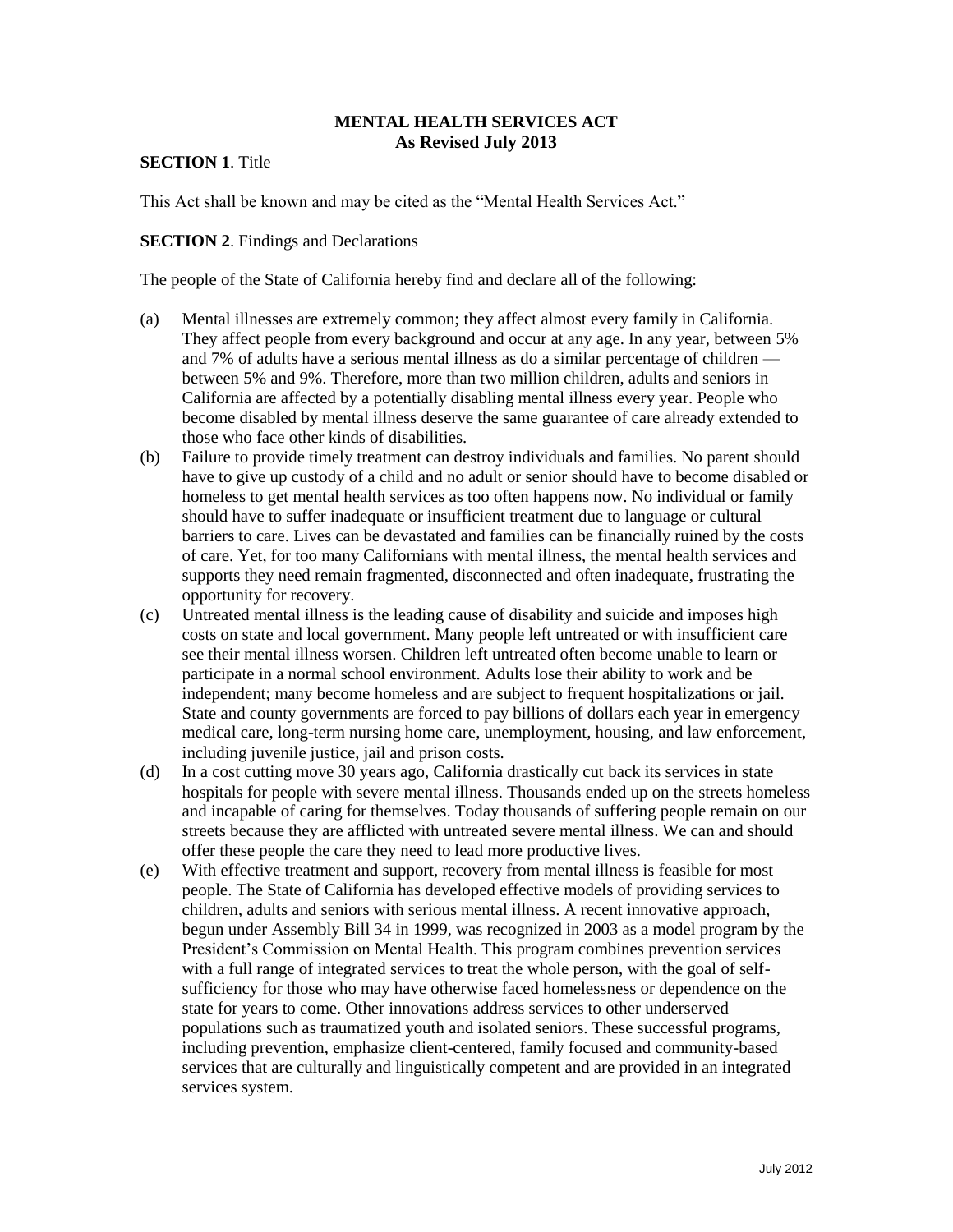### **MENTAL HEALTH SERVICES ACT As Revised July 2013**

# **SECTION 1**. Title

This Act shall be known and may be cited as the "Mental Health Services Act."

#### **SECTION 2.** Findings and Declarations

The people of the State of California hereby find and declare all of the following:

- (a) Mental illnesses are extremely common; they affect almost every family in California. They affect people from every background and occur at any age. In any year, between 5% and 7% of adults have a serious mental illness as do a similar percentage of children between 5% and 9%. Therefore, more than two million children, adults and seniors in California are affected by a potentially disabling mental illness every year. People who become disabled by mental illness deserve the same guarantee of care already extended to those who face other kinds of disabilities.
- (b) Failure to provide timely treatment can destroy individuals and families. No parent should have to give up custody of a child and no adult or senior should have to become disabled or homeless to get mental health services as too often happens now. No individual or family should have to suffer inadequate or insufficient treatment due to language or cultural barriers to care. Lives can be devastated and families can be financially ruined by the costs of care. Yet, for too many Californians with mental illness, the mental health services and supports they need remain fragmented, disconnected and often inadequate, frustrating the opportunity for recovery.
- (c) Untreated mental illness is the leading cause of disability and suicide and imposes high costs on state and local government. Many people left untreated or with insufficient care see their mental illness worsen. Children left untreated often become unable to learn or participate in a normal school environment. Adults lose their ability to work and be independent; many become homeless and are subject to frequent hospitalizations or jail. State and county governments are forced to pay billions of dollars each year in emergency medical care, long-term nursing home care, unemployment, housing, and law enforcement, including juvenile justice, jail and prison costs.
- (d) In a cost cutting move 30 years ago, California drastically cut back its services in state hospitals for people with severe mental illness. Thousands ended up on the streets homeless and incapable of caring for themselves. Today thousands of suffering people remain on our streets because they are afflicted with untreated severe mental illness. We can and should offer these people the care they need to lead more productive lives.
- (e) With effective treatment and support, recovery from mental illness is feasible for most people. The State of California has developed effective models of providing services to children, adults and seniors with serious mental illness. A recent innovative approach, begun under Assembly Bill 34 in 1999, was recognized in 2003 as a model program by the President's Commission on Mental Health. This program combines prevention services with a full range of integrated services to treat the whole person, with the goal of selfsufficiency for those who may have otherwise faced homelessness or dependence on the state for years to come. Other innovations address services to other underserved populations such as traumatized youth and isolated seniors. These successful programs, including prevention, emphasize client-centered, family focused and community-based services that are culturally and linguistically competent and are provided in an integrated services system.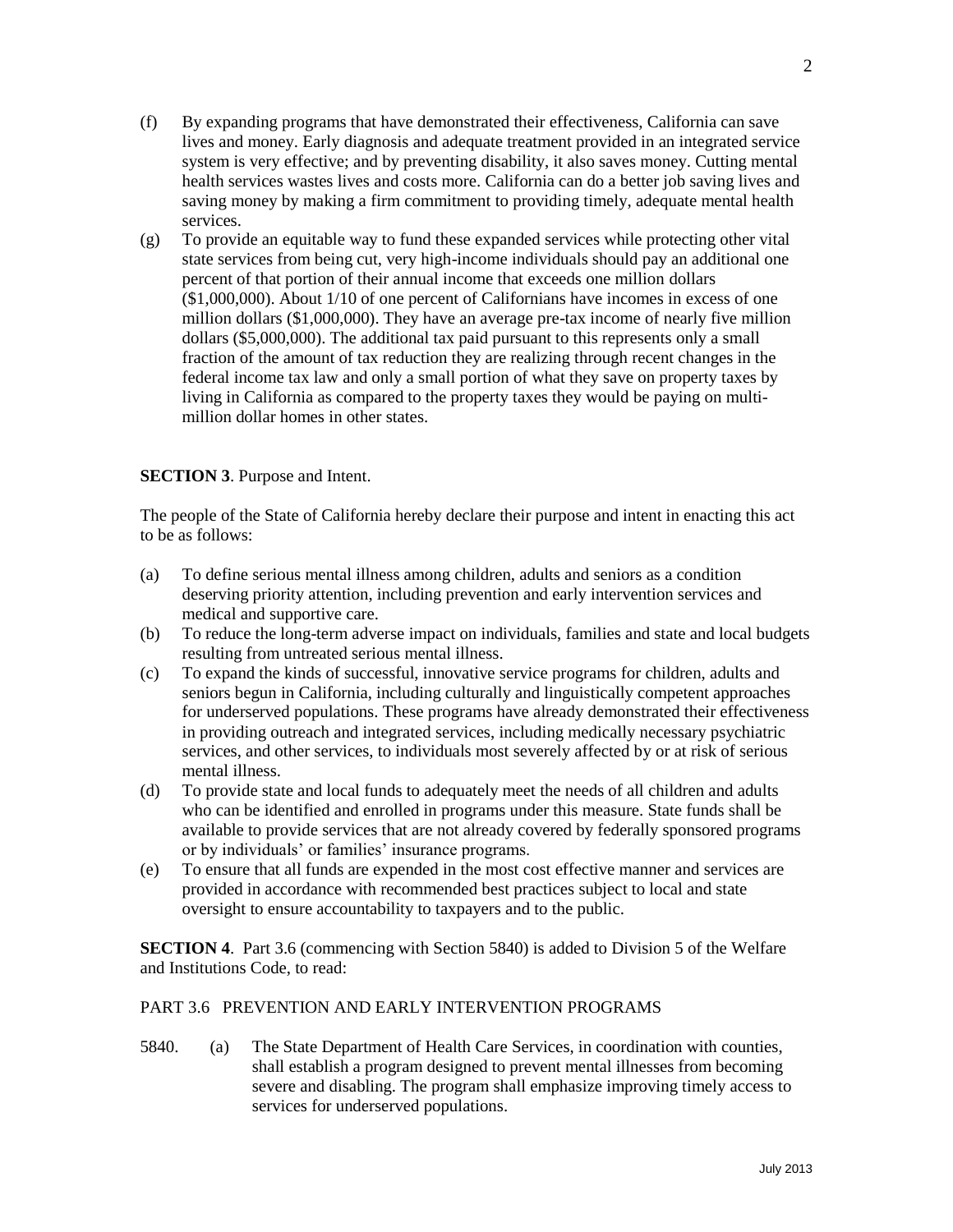- (f) By expanding programs that have demonstrated their effectiveness, California can save lives and money. Early diagnosis and adequate treatment provided in an integrated service system is very effective; and by preventing disability, it also saves money. Cutting mental health services wastes lives and costs more. California can do a better job saving lives and saving money by making a firm commitment to providing timely, adequate mental health services.
- (g) To provide an equitable way to fund these expanded services while protecting other vital state services from being cut, very high-income individuals should pay an additional one percent of that portion of their annual income that exceeds one million dollars (\$1,000,000). About 1/10 of one percent of Californians have incomes in excess of one million dollars (\$1,000,000). They have an average pre-tax income of nearly five million dollars (\$5,000,000). The additional tax paid pursuant to this represents only a small fraction of the amount of tax reduction they are realizing through recent changes in the federal income tax law and only a small portion of what they save on property taxes by living in California as compared to the property taxes they would be paying on multimillion dollar homes in other states.

# **SECTION 3**. Purpose and Intent.

The people of the State of California hereby declare their purpose and intent in enacting this act to be as follows:

- (a) To define serious mental illness among children, adults and seniors as a condition deserving priority attention, including prevention and early intervention services and medical and supportive care.
- (b) To reduce the long-term adverse impact on individuals, families and state and local budgets resulting from untreated serious mental illness.
- (c) To expand the kinds of successful, innovative service programs for children, adults and seniors begun in California, including culturally and linguistically competent approaches for underserved populations. These programs have already demonstrated their effectiveness in providing outreach and integrated services, including medically necessary psychiatric services, and other services, to individuals most severely affected by or at risk of serious mental illness.
- (d) To provide state and local funds to adequately meet the needs of all children and adults who can be identified and enrolled in programs under this measure. State funds shall be available to provide services that are not already covered by federally sponsored programs or by individuals' or families' insurance programs.
- (e) To ensure that all funds are expended in the most cost effective manner and services are provided in accordance with recommended best practices subject to local and state oversight to ensure accountability to taxpayers and to the public.

**SECTION 4**. Part 3.6 (commencing with Section 5840) is added to Division 5 of the Welfare and Institutions Code, to read:

#### PART 3.6 PREVENTION AND EARLY INTERVENTION PROGRAMS

5840. (a) The State Department of Health Care Services, in coordination with counties, shall establish a program designed to prevent mental illnesses from becoming severe and disabling. The program shall emphasize improving timely access to services for underserved populations.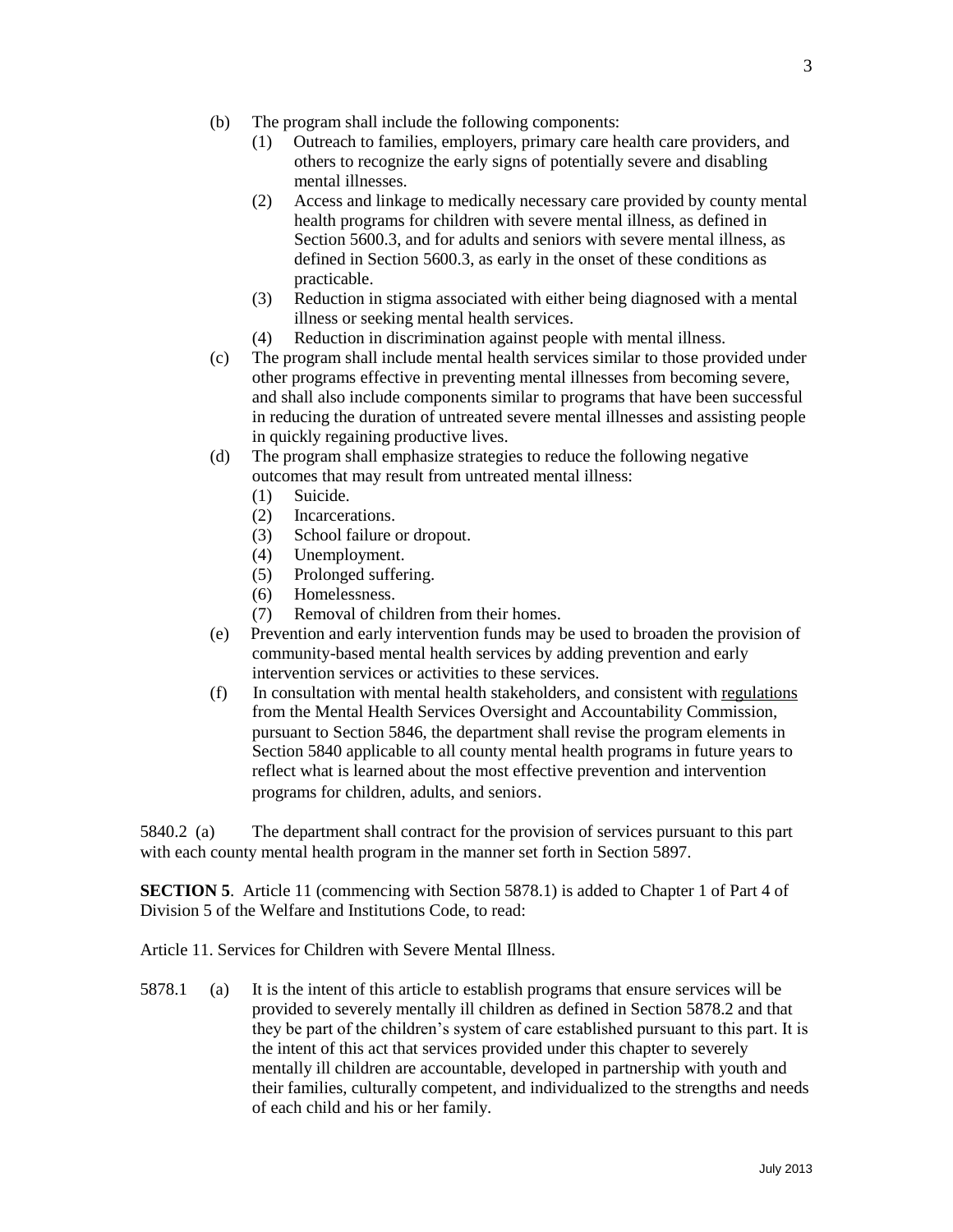- (b) The program shall include the following components:
	- (1) Outreach to families, employers, primary care health care providers, and others to recognize the early signs of potentially severe and disabling mental illnesses.
	- (2) Access and linkage to medically necessary care provided by county mental health programs for children with severe mental illness, as defined in Section 5600.3, and for adults and seniors with severe mental illness, as defined in Section 5600.3, as early in the onset of these conditions as practicable.
	- (3) Reduction in stigma associated with either being diagnosed with a mental illness or seeking mental health services.
	- (4) Reduction in discrimination against people with mental illness.
- (c) The program shall include mental health services similar to those provided under other programs effective in preventing mental illnesses from becoming severe, and shall also include components similar to programs that have been successful in reducing the duration of untreated severe mental illnesses and assisting people in quickly regaining productive lives.
- (d) The program shall emphasize strategies to reduce the following negative outcomes that may result from untreated mental illness:
	- (1) Suicide.
	- (2) Incarcerations.
	- (3) School failure or dropout.
	- (4) Unemployment.
	- (5) Prolonged suffering.
	- (6) Homelessness.
	- (7) Removal of children from their homes.
- (e) Prevention and early intervention funds may be used to broaden the provision of community-based mental health services by adding prevention and early intervention services or activities to these services.
- (f) In consultation with mental health stakeholders, and consistent with regulations from the Mental Health Services Oversight and Accountability Commission, pursuant to Section 5846, the department shall revise the program elements in Section 5840 applicable to all county mental health programs in future years to reflect what is learned about the most effective prevention and intervention programs for children, adults, and seniors.

5840.2 (a) The department shall contract for the provision of services pursuant to this part with each county mental health program in the manner set forth in Section 5897.

**SECTION 5.** Article 11 (commencing with Section 5878.1) is added to Chapter 1 of Part 4 of Division 5 of the Welfare and Institutions Code, to read:

Article 11. Services for Children with Severe Mental Illness.

5878.1 (a) It is the intent of this article to establish programs that ensure services will be provided to severely mentally ill children as defined in Section 5878.2 and that they be part of the children's system of care established pursuant to this part. It is the intent of this act that services provided under this chapter to severely mentally ill children are accountable, developed in partnership with youth and their families, culturally competent, and individualized to the strengths and needs of each child and his or her family.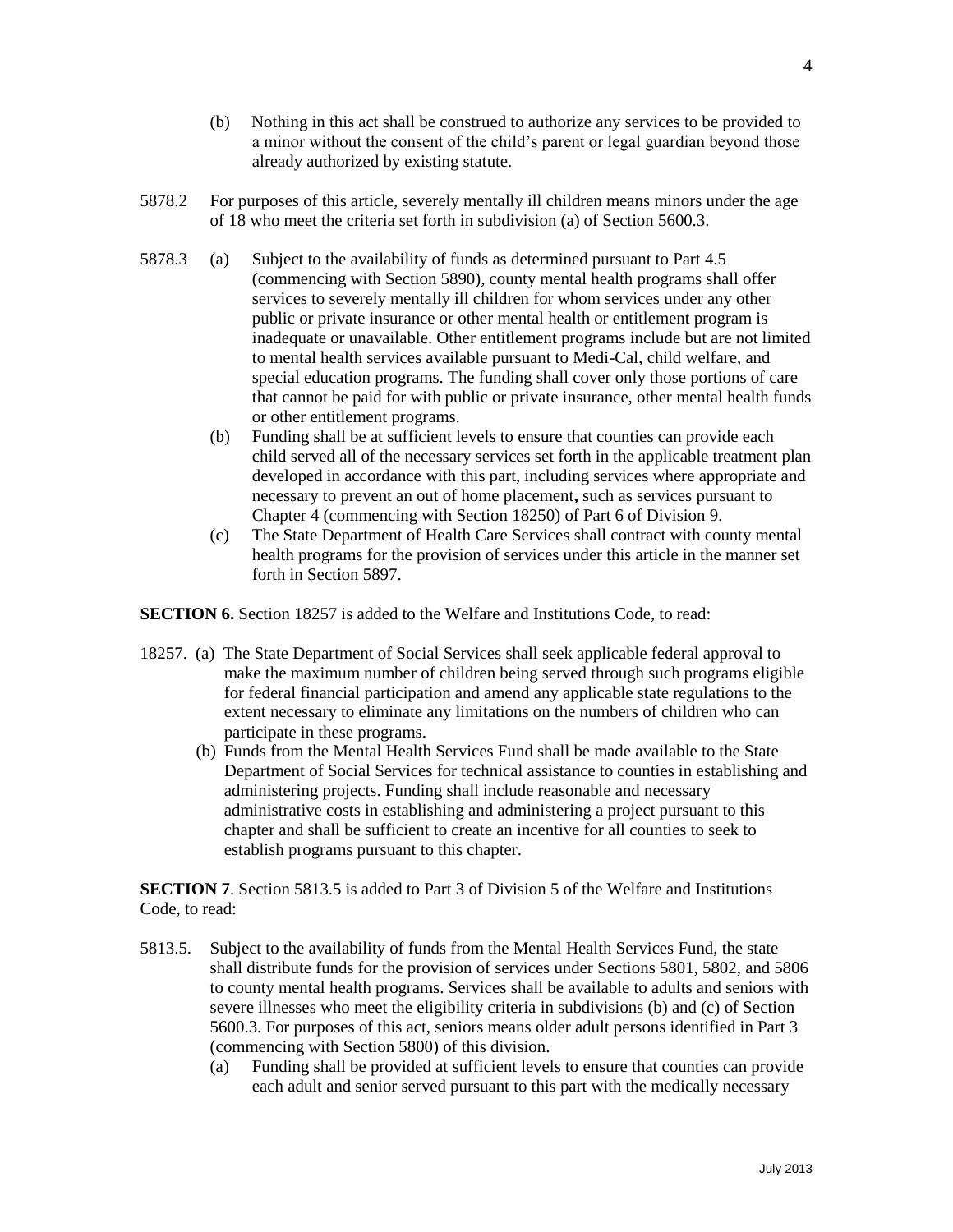- (b) Nothing in this act shall be construed to authorize any services to be provided to a minor without the consent of the child's parent or legal guardian beyond those already authorized by existing statute.
- 5878.2 For purposes of this article, severely mentally ill children means minors under the age of 18 who meet the criteria set forth in subdivision (a) of Section 5600.3.
- 5878.3 (a) Subject to the availability of funds as determined pursuant to Part 4.5 (commencing with Section 5890), county mental health programs shall offer services to severely mentally ill children for whom services under any other public or private insurance or other mental health or entitlement program is inadequate or unavailable. Other entitlement programs include but are not limited to mental health services available pursuant to Medi-Cal, child welfare, and special education programs. The funding shall cover only those portions of care that cannot be paid for with public or private insurance, other mental health funds or other entitlement programs.
	- (b) Funding shall be at sufficient levels to ensure that counties can provide each child served all of the necessary services set forth in the applicable treatment plan developed in accordance with this part, including services where appropriate and necessary to prevent an out of home placement**,** such as services pursuant to Chapter 4 (commencing with Section 18250) of Part 6 of Division 9.
	- (c) The State Department of Health Care Services shall contract with county mental health programs for the provision of services under this article in the manner set forth in Section 5897.

**SECTION 6.** Section 18257 is added to the Welfare and Institutions Code, to read:

- 18257. (a) The State Department of Social Services shall seek applicable federal approval to make the maximum number of children being served through such programs eligible for federal financial participation and amend any applicable state regulations to the extent necessary to eliminate any limitations on the numbers of children who can participate in these programs.
	- (b) Funds from the Mental Health Services Fund shall be made available to the State Department of Social Services for technical assistance to counties in establishing and administering projects. Funding shall include reasonable and necessary administrative costs in establishing and administering a project pursuant to this chapter and shall be sufficient to create an incentive for all counties to seek to establish programs pursuant to this chapter.

**SECTION 7**. Section 5813.5 is added to Part 3 of Division 5 of the Welfare and Institutions Code, to read:

- 5813.5. Subject to the availability of funds from the Mental Health Services Fund, the state shall distribute funds for the provision of services under Sections 5801, 5802, and 5806 to county mental health programs. Services shall be available to adults and seniors with severe illnesses who meet the eligibility criteria in subdivisions (b) and (c) of Section 5600.3. For purposes of this act, seniors means older adult persons identified in Part 3 (commencing with Section 5800) of this division.
	- (a) Funding shall be provided at sufficient levels to ensure that counties can provide each adult and senior served pursuant to this part with the medically necessary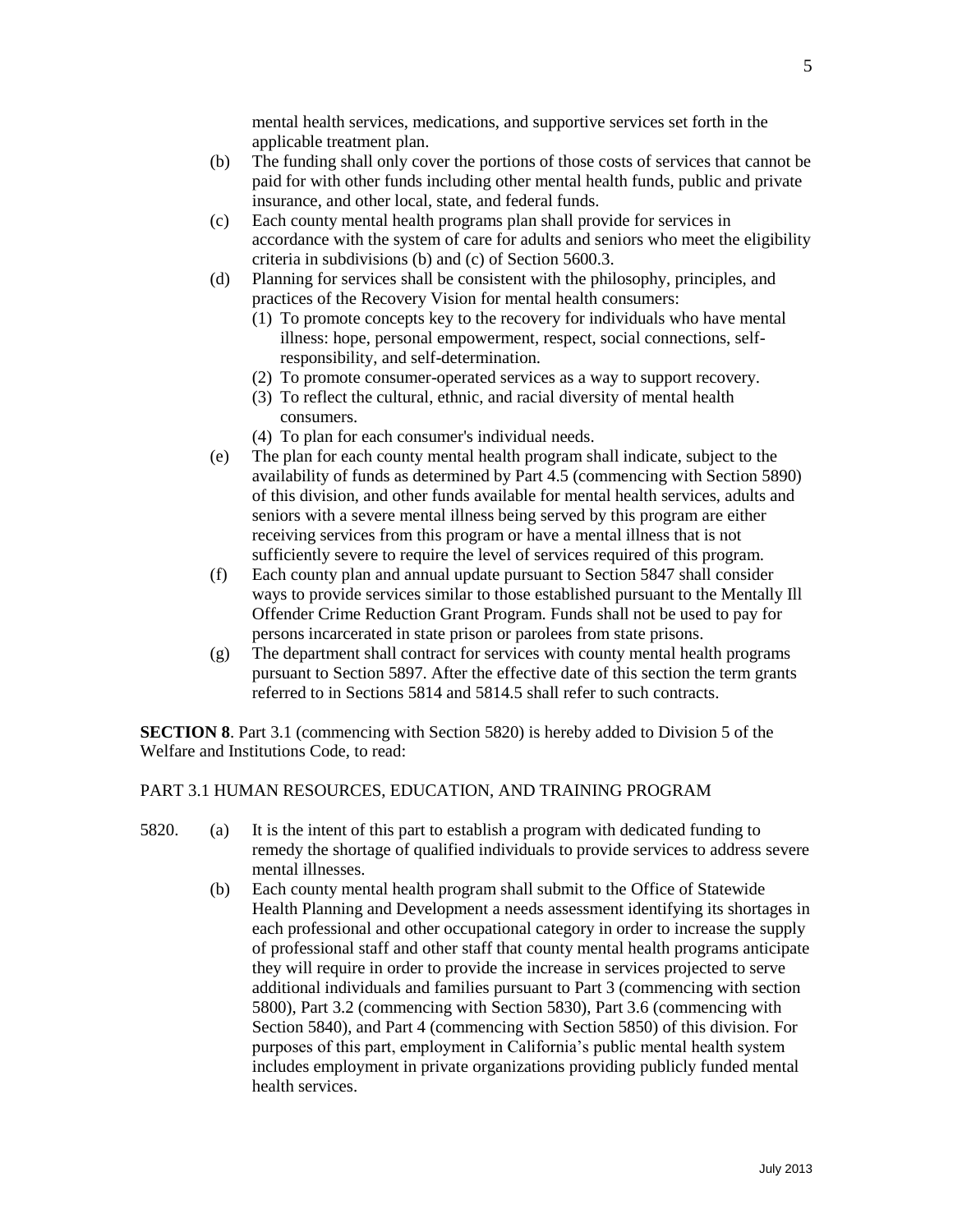mental health services, medications, and supportive services set forth in the applicable treatment plan.

- (b) The funding shall only cover the portions of those costs of services that cannot be paid for with other funds including other mental health funds, public and private insurance, and other local, state, and federal funds.
- (c) Each county mental health programs plan shall provide for services in accordance with the system of care for adults and seniors who meet the eligibility criteria in subdivisions (b) and (c) of Section 5600.3.
- (d) Planning for services shall be consistent with the philosophy, principles, and practices of the Recovery Vision for mental health consumers:
	- (1) To promote concepts key to the recovery for individuals who have mental illness: hope, personal empowerment, respect, social connections, selfresponsibility, and self-determination.
	- (2) To promote consumer-operated services as a way to support recovery.
	- (3) To reflect the cultural, ethnic, and racial diversity of mental health consumers.
	- (4) To plan for each consumer's individual needs.
- (e) The plan for each county mental health program shall indicate, subject to the availability of funds as determined by Part 4.5 (commencing with Section 5890) of this division, and other funds available for mental health services, adults and seniors with a severe mental illness being served by this program are either receiving services from this program or have a mental illness that is not sufficiently severe to require the level of services required of this program.
- (f) Each county plan and annual update pursuant to Section 5847 shall consider ways to provide services similar to those established pursuant to the Mentally Ill Offender Crime Reduction Grant Program. Funds shall not be used to pay for persons incarcerated in state prison or parolees from state prisons.
- (g) The department shall contract for services with county mental health programs pursuant to Section 5897. After the effective date of this section the term grants referred to in Sections 5814 and 5814.5 shall refer to such contracts.

**SECTION 8**. Part 3.1 (commencing with Section 5820) is hereby added to Division 5 of the Welfare and Institutions Code, to read:

# PART 3.1 HUMAN RESOURCES, EDUCATION, AND TRAINING PROGRAM

- 5820. (a) It is the intent of this part to establish a program with dedicated funding to remedy the shortage of qualified individuals to provide services to address severe mental illnesses.
	- (b) Each county mental health program shall submit to the Office of Statewide Health Planning and Development a needs assessment identifying its shortages in each professional and other occupational category in order to increase the supply of professional staff and other staff that county mental health programs anticipate they will require in order to provide the increase in services projected to serve additional individuals and families pursuant to Part 3 (commencing with section 5800), Part 3.2 (commencing with Section 5830), Part 3.6 (commencing with Section 5840), and Part 4 (commencing with Section 5850) of this division. For purposes of this part, employment in California's public mental health system includes employment in private organizations providing publicly funded mental health services.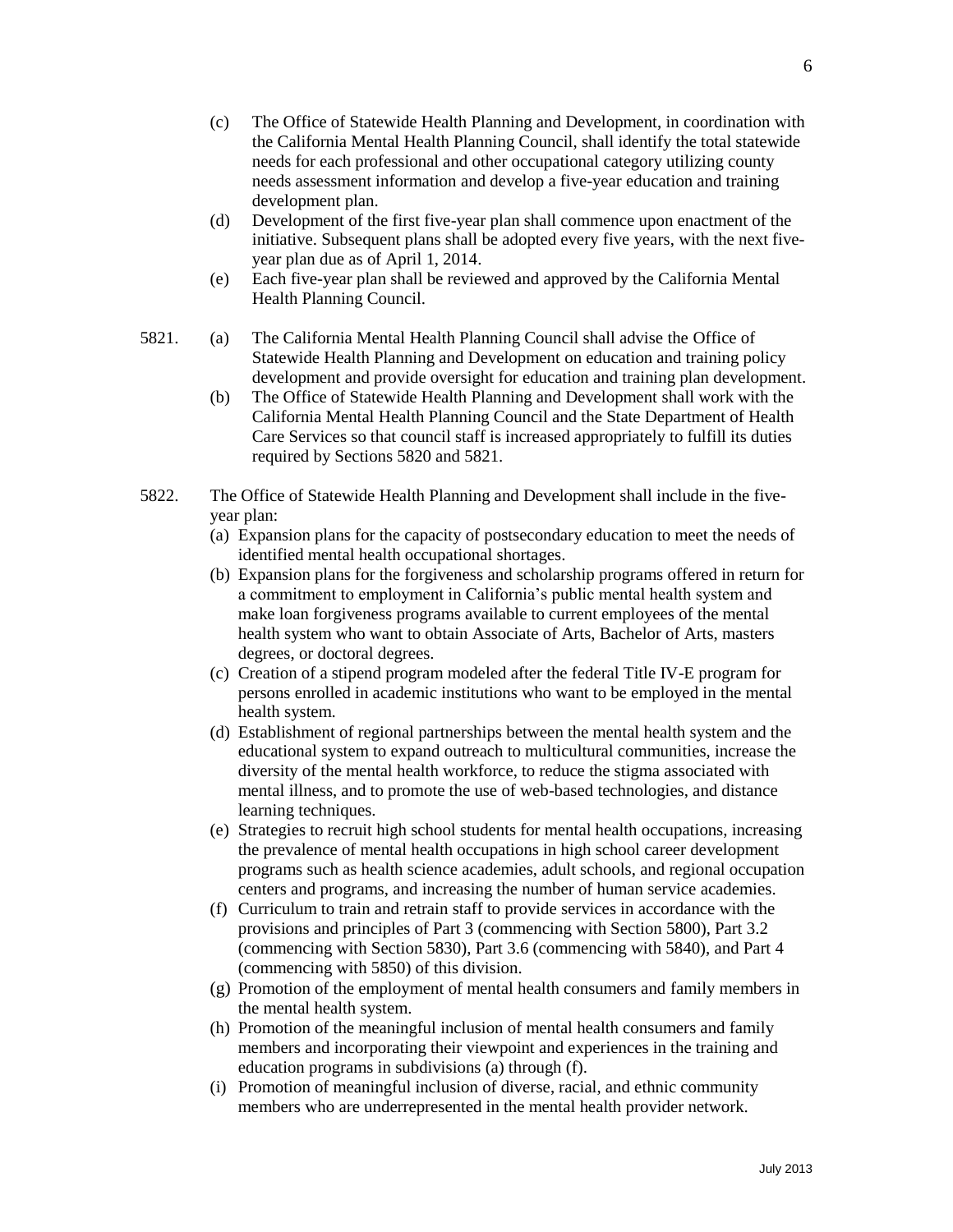- (c) The Office of Statewide Health Planning and Development, in coordination with the California Mental Health Planning Council, shall identify the total statewide needs for each professional and other occupational category utilizing county needs assessment information and develop a five-year education and training development plan.
- (d) Development of the first five-year plan shall commence upon enactment of the initiative. Subsequent plans shall be adopted every five years, with the next fiveyear plan due as of April 1, 2014.
- (e) Each five-year plan shall be reviewed and approved by the California Mental Health Planning Council.
- 5821. (a) The California Mental Health Planning Council shall advise the Office of Statewide Health Planning and Development on education and training policy development and provide oversight for education and training plan development.
	- (b) The Office of Statewide Health Planning and Development shall work with the California Mental Health Planning Council and the State Department of Health Care Services so that council staff is increased appropriately to fulfill its duties required by Sections 5820 and 5821.
- 5822. The Office of Statewide Health Planning and Development shall include in the fiveyear plan:
	- (a) Expansion plans for the capacity of postsecondary education to meet the needs of identified mental health occupational shortages.
	- (b) Expansion plans for the forgiveness and scholarship programs offered in return for a commitment to employment in California's public mental health system and make loan forgiveness programs available to current employees of the mental health system who want to obtain Associate of Arts, Bachelor of Arts, masters degrees, or doctoral degrees.
	- (c) Creation of a stipend program modeled after the federal Title IV-E program for persons enrolled in academic institutions who want to be employed in the mental health system.
	- (d) Establishment of regional partnerships between the mental health system and the educational system to expand outreach to multicultural communities, increase the diversity of the mental health workforce, to reduce the stigma associated with mental illness, and to promote the use of web-based technologies, and distance learning techniques.
	- (e) Strategies to recruit high school students for mental health occupations, increasing the prevalence of mental health occupations in high school career development programs such as health science academies, adult schools, and regional occupation centers and programs, and increasing the number of human service academies.
	- (f) Curriculum to train and retrain staff to provide services in accordance with the provisions and principles of Part 3 (commencing with Section 5800), Part 3.2 (commencing with Section 5830), Part 3.6 (commencing with 5840), and Part 4 (commencing with 5850) of this division.
	- (g) Promotion of the employment of mental health consumers and family members in the mental health system.
	- (h) Promotion of the meaningful inclusion of mental health consumers and family members and incorporating their viewpoint and experiences in the training and education programs in subdivisions (a) through (f).
	- (i) Promotion of meaningful inclusion of diverse, racial, and ethnic community members who are underrepresented in the mental health provider network.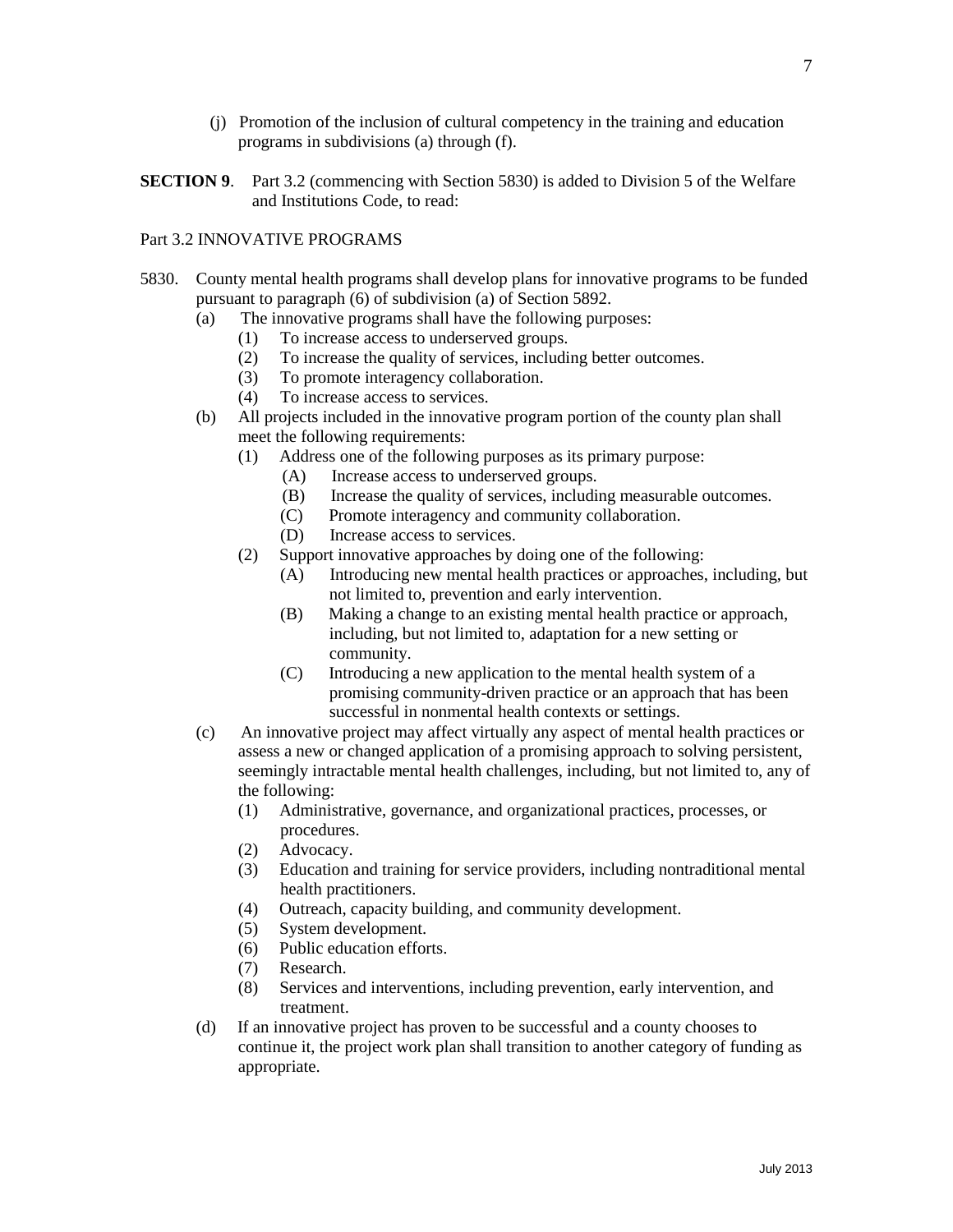- (j) Promotion of the inclusion of cultural competency in the training and education programs in subdivisions (a) through (f).
- **SECTION 9.** Part 3.2 (commencing with Section 5830) is added to Division 5 of the Welfare and Institutions Code, to read:

# Part 3.2 INNOVATIVE PROGRAMS

- 5830. County mental health programs shall develop plans for innovative programs to be funded pursuant to paragraph (6) of subdivision (a) of Section 5892.
	- (a) The innovative programs shall have the following purposes:
		- (1) To increase access to underserved groups.
		- (2) To increase the quality of services, including better outcomes.
		- (3) To promote interagency collaboration.
		- (4) To increase access to services.
	- (b) All projects included in the innovative program portion of the county plan shall meet the following requirements:
		- (1) Address one of the following purposes as its primary purpose:
			- (A) Increase access to underserved groups.
			- (B) Increase the quality of services, including measurable outcomes.
			- (C) Promote interagency and community collaboration.
			- (D) Increase access to services.
		- (2) Support innovative approaches by doing one of the following:
			- (A) Introducing new mental health practices or approaches, including, but not limited to, prevention and early intervention.
			- (B) Making a change to an existing mental health practice or approach, including, but not limited to, adaptation for a new setting or community.
			- (C) Introducing a new application to the mental health system of a promising community-driven practice or an approach that has been successful in nonmental health contexts or settings.
	- (c) An innovative project may affect virtually any aspect of mental health practices or assess a new or changed application of a promising approach to solving persistent, seemingly intractable mental health challenges, including, but not limited to, any of the following:
		- (1) Administrative, governance, and organizational practices, processes, or procedures.
		- (2) Advocacy.<br>(3) Education a
		- Education and training for service providers, including nontraditional mental health practitioners.
		- (4) Outreach, capacity building, and community development.
		- (5) System development.
		- (6) Public education efforts.
		- (7) Research.
		- (8) Services and interventions, including prevention, early intervention, and treatment.
	- (d) If an innovative project has proven to be successful and a county chooses to continue it, the project work plan shall transition to another category of funding as appropriate.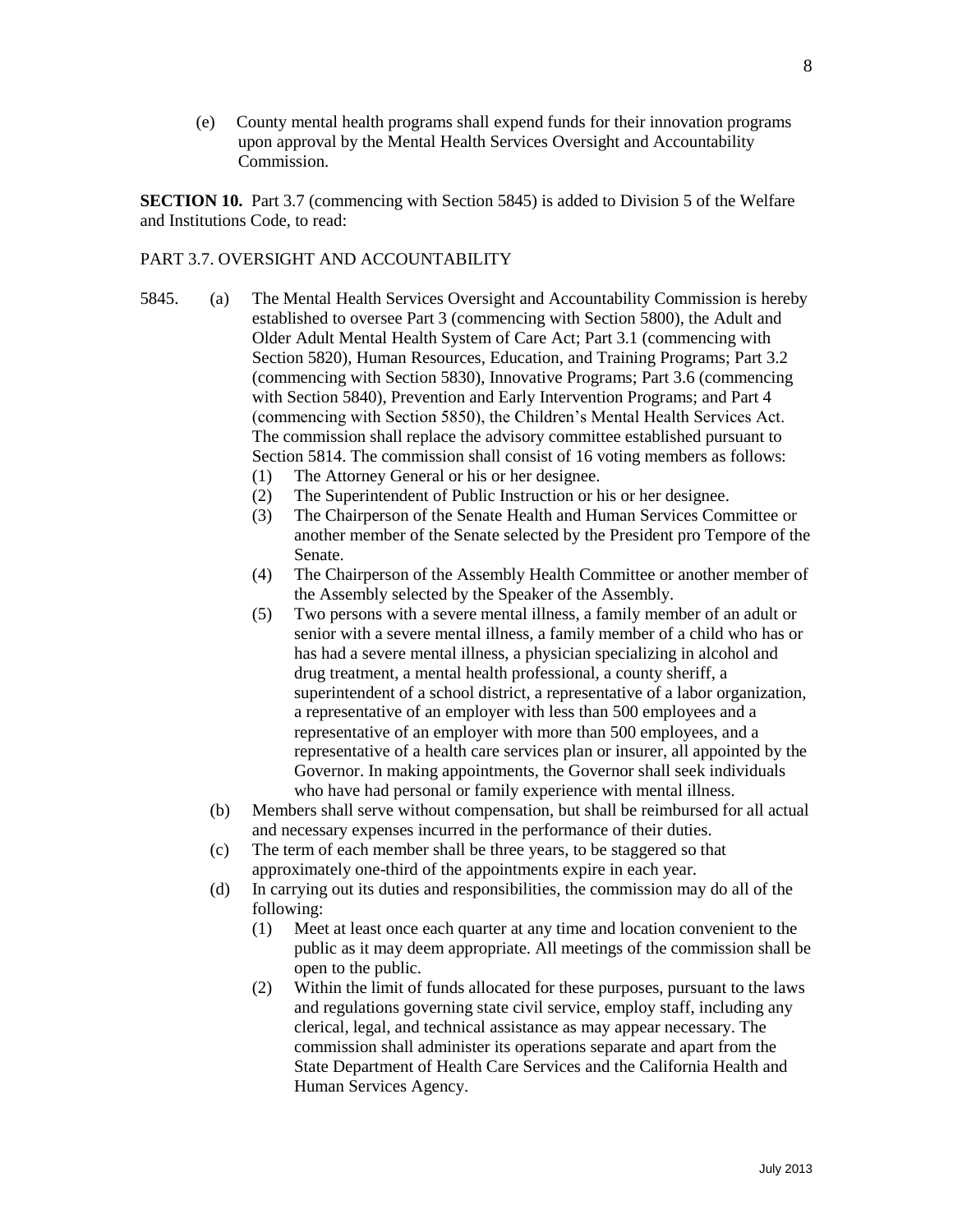(e) County mental health programs shall expend funds for their innovation programs upon approval by the Mental Health Services Oversight and Accountability Commission.

**SECTION 10.** Part 3.7 (commencing with Section 5845) is added to Division 5 of the Welfare and Institutions Code, to read:

### PART 3.7. OVERSIGHT AND ACCOUNTABILITY

- 5845. (a) The Mental Health Services Oversight and Accountability Commission is hereby established to oversee Part 3 (commencing with Section 5800), the Adult and Older Adult Mental Health System of Care Act; Part 3.1 (commencing with Section 5820), Human Resources, Education, and Training Programs; Part 3.2 (commencing with Section 5830), Innovative Programs; Part 3.6 (commencing with Section 5840), Prevention and Early Intervention Programs; and Part 4 (commencing with Section 5850), the Children's Mental Health Services Act. The commission shall replace the advisory committee established pursuant to Section 5814. The commission shall consist of 16 voting members as follows:
	- (1) The Attorney General or his or her designee.
	- (2) The Superintendent of Public Instruction or his or her designee.
	- (3) The Chairperson of the Senate Health and Human Services Committee or another member of the Senate selected by the President pro Tempore of the Senate.
	- (4) The Chairperson of the Assembly Health Committee or another member of the Assembly selected by the Speaker of the Assembly.
	- (5) Two persons with a severe mental illness, a family member of an adult or senior with a severe mental illness, a family member of a child who has or has had a severe mental illness, a physician specializing in alcohol and drug treatment, a mental health professional, a county sheriff, a superintendent of a school district, a representative of a labor organization, a representative of an employer with less than 500 employees and a representative of an employer with more than 500 employees, and a representative of a health care services plan or insurer, all appointed by the Governor. In making appointments, the Governor shall seek individuals who have had personal or family experience with mental illness.
	- (b) Members shall serve without compensation, but shall be reimbursed for all actual and necessary expenses incurred in the performance of their duties.
	- (c) The term of each member shall be three years, to be staggered so that approximately one-third of the appointments expire in each year.
	- (d) In carrying out its duties and responsibilities, the commission may do all of the following:
		- (1) Meet at least once each quarter at any time and location convenient to the public as it may deem appropriate. All meetings of the commission shall be open to the public.
		- (2) Within the limit of funds allocated for these purposes, pursuant to the laws and regulations governing state civil service, employ staff, including any clerical, legal, and technical assistance as may appear necessary. The commission shall administer its operations separate and apart from the State Department of Health Care Services and the California Health and Human Services Agency.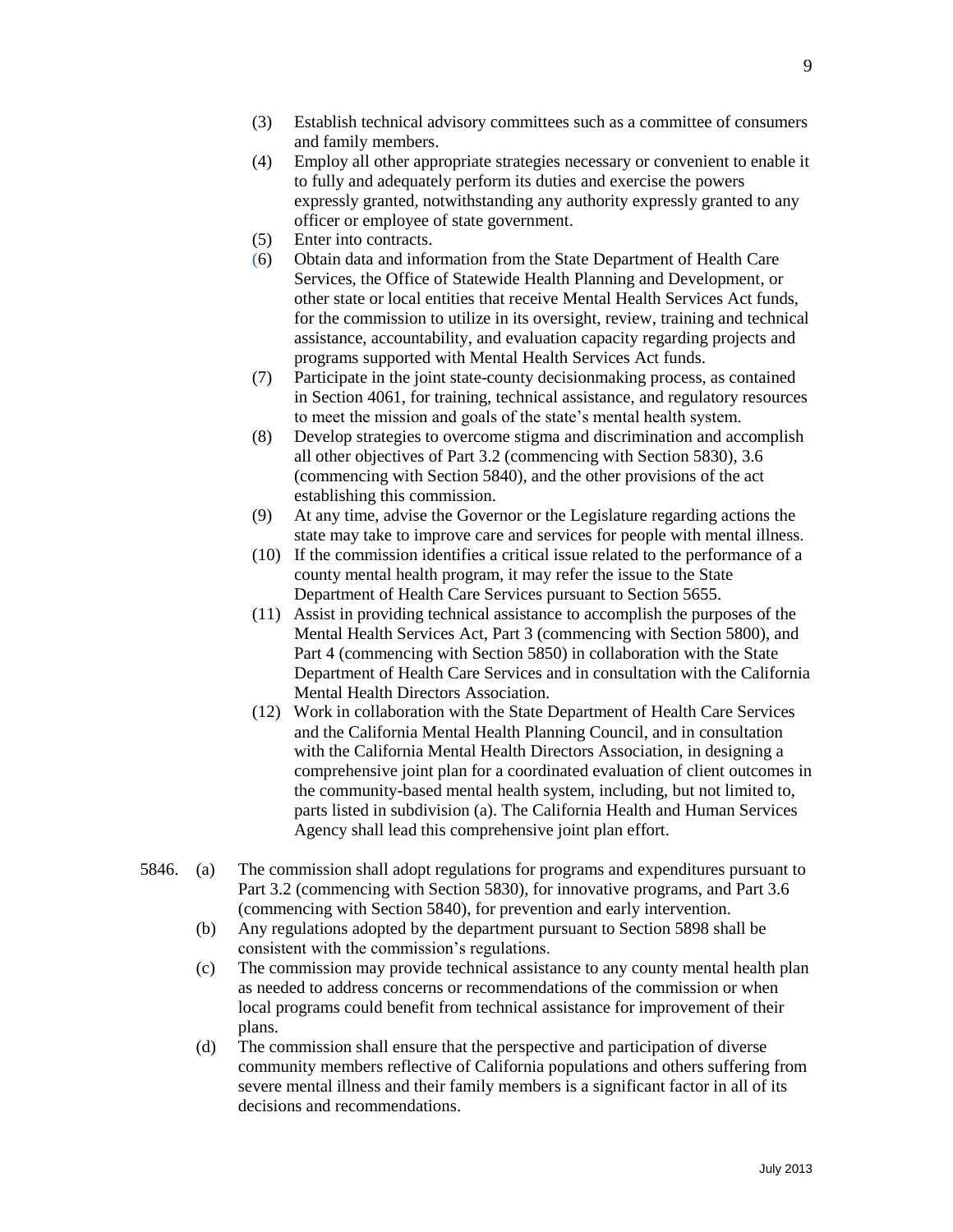- (3) Establish technical advisory committees such as a committee of consumers and family members.
- (4) Employ all other appropriate strategies necessary or convenient to enable it to fully and adequately perform its duties and exercise the powers expressly granted, notwithstanding any authority expressly granted to any officer or employee of state government.
- (5) Enter into contracts.
- (6) Obtain data and information from the State Department of Health Care Services, the Office of Statewide Health Planning and Development, or other state or local entities that receive Mental Health Services Act funds, for the commission to utilize in its oversight, review, training and technical assistance, accountability, and evaluation capacity regarding projects and programs supported with Mental Health Services Act funds.
- (7) Participate in the joint state-county decisionmaking process, as contained in Section 4061, for training, technical assistance, and regulatory resources to meet the mission and goals of the state's mental health system.
- (8) Develop strategies to overcome stigma and discrimination and accomplish all other objectives of Part 3.2 (commencing with Section 5830), 3.6 (commencing with Section 5840), and the other provisions of the act establishing this commission.
- (9) At any time, advise the Governor or the Legislature regarding actions the state may take to improve care and services for people with mental illness.
- (10) If the commission identifies a critical issue related to the performance of a county mental health program, it may refer the issue to the State Department of Health Care Services pursuant to Section 5655.
- (11) Assist in providing technical assistance to accomplish the purposes of the Mental Health Services Act, Part 3 (commencing with Section 5800), and Part 4 (commencing with Section 5850) in collaboration with the State Department of Health Care Services and in consultation with the California Mental Health Directors Association.
- (12) Work in collaboration with the State Department of Health Care Services and the California Mental Health Planning Council, and in consultation with the California Mental Health Directors Association, in designing a comprehensive joint plan for a coordinated evaluation of client outcomes in the community-based mental health system, including, but not limited to, parts listed in subdivision (a). The California Health and Human Services Agency shall lead this comprehensive joint plan effort.
- 5846. (a) The commission shall adopt regulations for programs and expenditures pursuant to Part 3.2 (commencing with Section 5830), for innovative programs, and Part 3.6 (commencing with Section 5840), for prevention and early intervention.
	- (b) Any regulations adopted by the department pursuant to Section 5898 shall be consistent with the commission's regulations.
	- (c) The commission may provide technical assistance to any county mental health plan as needed to address concerns or recommendations of the commission or when local programs could benefit from technical assistance for improvement of their plans.
	- (d) The commission shall ensure that the perspective and participation of diverse community members reflective of California populations and others suffering from severe mental illness and their family members is a significant factor in all of its decisions and recommendations.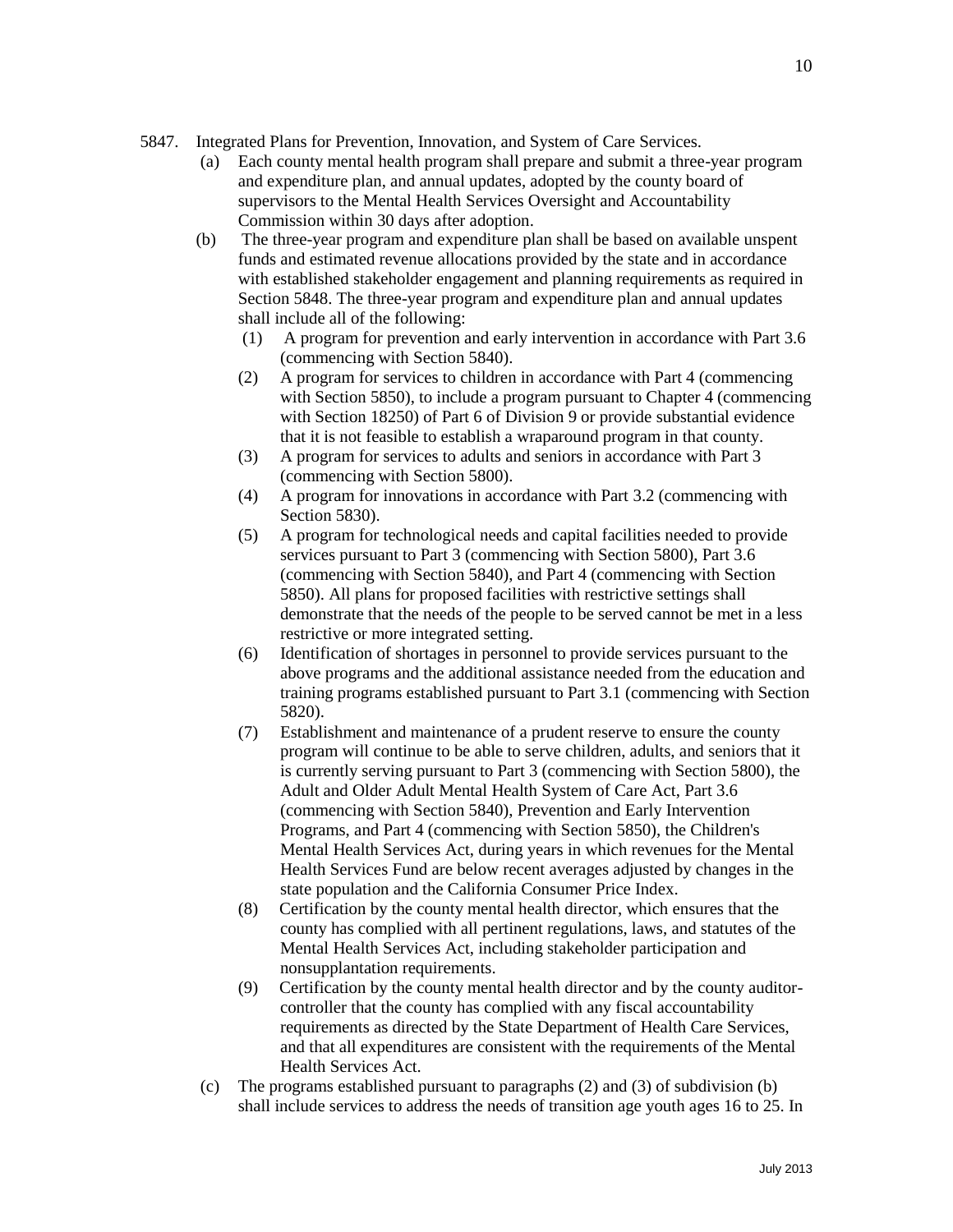- 5847. Integrated Plans for Prevention, Innovation, and System of Care Services.
	- (a) Each county mental health program shall prepare and submit a three-year program and expenditure plan, and annual updates, adopted by the county board of supervisors to the Mental Health Services Oversight and Accountability Commission within 30 days after adoption.
	- (b) The three-year program and expenditure plan shall be based on available unspent funds and estimated revenue allocations provided by the state and in accordance with established stakeholder engagement and planning requirements as required in Section 5848. The three-year program and expenditure plan and annual updates shall include all of the following:
		- (1) A program for prevention and early intervention in accordance with Part 3.6 (commencing with Section 5840).
		- (2) A program for services to children in accordance with Part 4 (commencing with Section 5850), to include a program pursuant to Chapter 4 (commencing with Section 18250) of Part 6 of Division 9 or provide substantial evidence that it is not feasible to establish a wraparound program in that county.
		- (3) A program for services to adults and seniors in accordance with Part 3 (commencing with Section 5800).
		- (4) A program for innovations in accordance with Part 3.2 (commencing with Section 5830).
		- (5) A program for technological needs and capital facilities needed to provide services pursuant to Part 3 (commencing with Section 5800), Part 3.6 (commencing with Section 5840), and Part 4 (commencing with Section 5850). All plans for proposed facilities with restrictive settings shall demonstrate that the needs of the people to be served cannot be met in a less restrictive or more integrated setting.
		- (6) Identification of shortages in personnel to provide services pursuant to the above programs and the additional assistance needed from the education and training programs established pursuant to Part 3.1 (commencing with Section 5820).
		- (7) Establishment and maintenance of a prudent reserve to ensure the county program will continue to be able to serve children, adults, and seniors that it is currently serving pursuant to Part 3 (commencing with Section 5800), the Adult and Older Adult Mental Health System of Care Act, Part 3.6 (commencing with Section 5840), Prevention and Early Intervention Programs, and Part 4 (commencing with Section 5850), the Children's Mental Health Services Act, during years in which revenues for the Mental Health Services Fund are below recent averages adjusted by changes in the state population and the California Consumer Price Index.
		- (8) Certification by the county mental health director, which ensures that the county has complied with all pertinent regulations, laws, and statutes of the Mental Health Services Act, including stakeholder participation and nonsupplantation requirements.
		- (9) Certification by the county mental health director and by the county auditorcontroller that the county has complied with any fiscal accountability requirements as directed by the State Department of Health Care Services, and that all expenditures are consistent with the requirements of the Mental Health Services Act.
	- (c) The programs established pursuant to paragraphs (2) and (3) of subdivision (b) shall include services to address the needs of transition age youth ages 16 to 25. In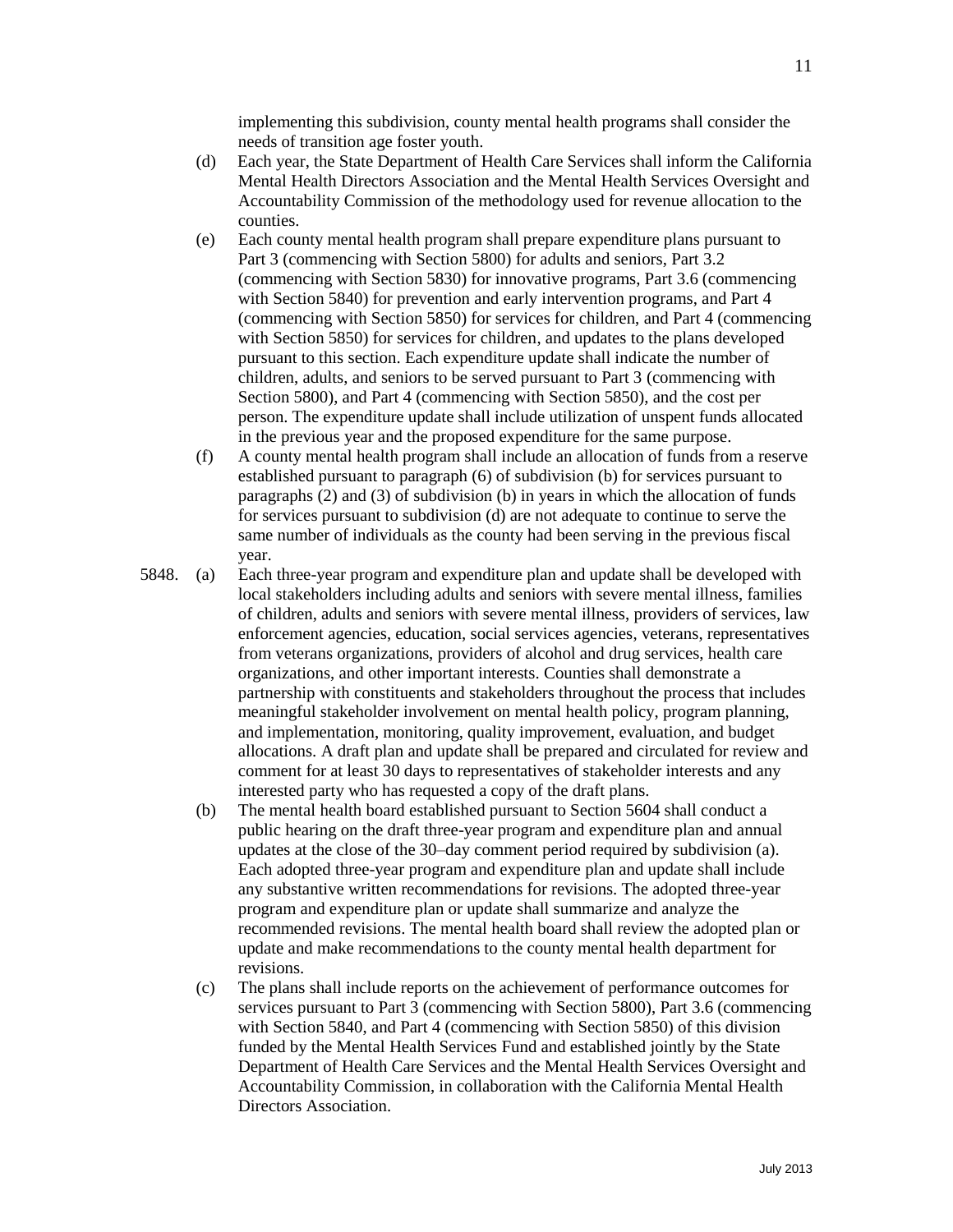implementing this subdivision, county mental health programs shall consider the needs of transition age foster youth.

- (d) Each year, the State Department of Health Care Services shall inform the California Mental Health Directors Association and the Mental Health Services Oversight and Accountability Commission of the methodology used for revenue allocation to the counties.
- (e) Each county mental health program shall prepare expenditure plans pursuant to Part 3 (commencing with Section 5800) for adults and seniors, Part 3.2 (commencing with Section 5830) for innovative programs, Part 3.6 (commencing with Section 5840) for prevention and early intervention programs, and Part 4 (commencing with Section 5850) for services for children, and Part 4 (commencing with Section 5850) for services for children, and updates to the plans developed pursuant to this section. Each expenditure update shall indicate the number of children, adults, and seniors to be served pursuant to Part 3 (commencing with Section 5800), and Part 4 (commencing with Section 5850), and the cost per person. The expenditure update shall include utilization of unspent funds allocated in the previous year and the proposed expenditure for the same purpose.
- (f) A county mental health program shall include an allocation of funds from a reserve established pursuant to paragraph (6) of subdivision (b) for services pursuant to paragraphs (2) and (3) of subdivision (b) in years in which the allocation of funds for services pursuant to subdivision (d) are not adequate to continue to serve the same number of individuals as the county had been serving in the previous fiscal year.
- 5848. (a) Each three-year program and expenditure plan and update shall be developed with local stakeholders including adults and seniors with severe mental illness, families of children, adults and seniors with severe mental illness, providers of services, law enforcement agencies, education, social services agencies, veterans, representatives from veterans organizations, providers of alcohol and drug services, health care organizations, and other important interests. Counties shall demonstrate a partnership with constituents and stakeholders throughout the process that includes meaningful stakeholder involvement on mental health policy, program planning, and implementation, monitoring, quality improvement, evaluation, and budget allocations. A draft plan and update shall be prepared and circulated for review and comment for at least 30 days to representatives of stakeholder interests and any interested party who has requested a copy of the draft plans.
	- (b) The mental health board established pursuant to Section 5604 shall conduct a public hearing on the draft three-year program and expenditure plan and annual updates at the close of the 30–day comment period required by subdivision (a). Each adopted three-year program and expenditure plan and update shall include any substantive written recommendations for revisions. The adopted three-year program and expenditure plan or update shall summarize and analyze the recommended revisions. The mental health board shall review the adopted plan or update and make recommendations to the county mental health department for revisions.
	- (c) The plans shall include reports on the achievement of performance outcomes for services pursuant to Part 3 (commencing with Section 5800), Part 3.6 (commencing with Section 5840, and Part 4 (commencing with Section 5850) of this division funded by the Mental Health Services Fund and established jointly by the State Department of Health Care Services and the Mental Health Services Oversight and Accountability Commission, in collaboration with the California Mental Health Directors Association.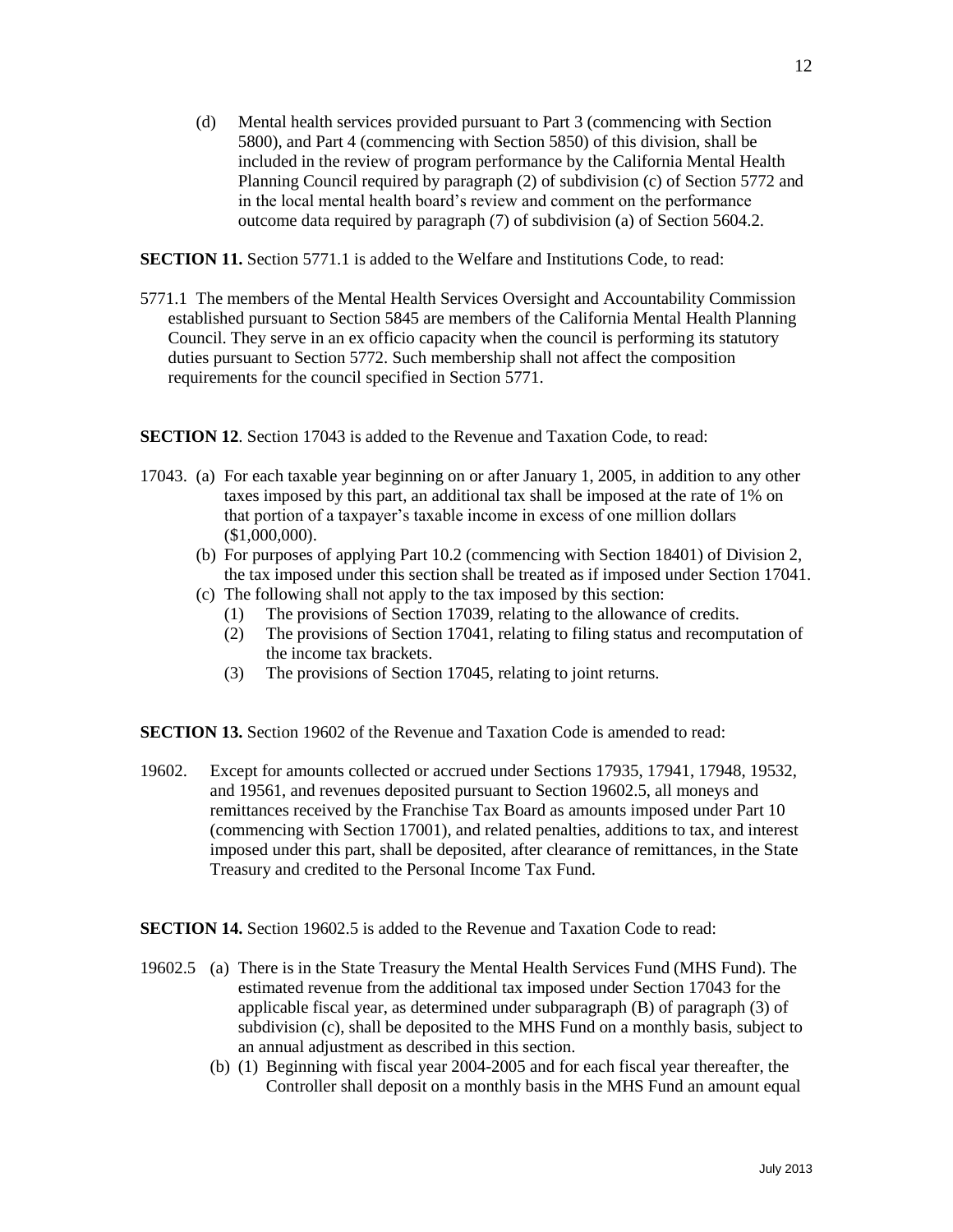(d) Mental health services provided pursuant to Part 3 (commencing with Section 5800), and Part 4 (commencing with Section 5850) of this division, shall be included in the review of program performance by the California Mental Health Planning Council required by paragraph (2) of subdivision (c) of Section 5772 and in the local mental health board's review and comment on the performance outcome data required by paragraph (7) of subdivision (a) of Section 5604.2.

**SECTION 11.** Section 5771.1 is added to the Welfare and Institutions Code, to read:

5771.1 The members of the Mental Health Services Oversight and Accountability Commission established pursuant to Section 5845 are members of the California Mental Health Planning Council. They serve in an ex officio capacity when the council is performing its statutory duties pursuant to Section 5772. Such membership shall not affect the composition requirements for the council specified in Section 5771.

**SECTION 12.** Section 17043 is added to the Revenue and Taxation Code, to read:

- 17043. (a) For each taxable year beginning on or after January 1, 2005, in addition to any other taxes imposed by this part, an additional tax shall be imposed at the rate of 1% on that portion of a taxpayer's taxable income in excess of one million dollars (\$1,000,000).
	- (b) For purposes of applying Part 10.2 (commencing with Section 18401) of Division 2, the tax imposed under this section shall be treated as if imposed under Section 17041.
	- (c) The following shall not apply to the tax imposed by this section:
		- (1) The provisions of Section 17039, relating to the allowance of credits.
		- (2) The provisions of Section 17041, relating to filing status and recomputation of the income tax brackets.
		- (3) The provisions of Section 17045, relating to joint returns.

**SECTION 13.** Section 19602 of the Revenue and Taxation Code is amended to read:

19602. Except for amounts collected or accrued under Sections 17935, 17941, 17948, 19532, and 19561, and revenues deposited pursuant to Section 19602.5, all moneys and remittances received by the Franchise Tax Board as amounts imposed under Part 10 (commencing with Section 17001), and related penalties, additions to tax, and interest imposed under this part, shall be deposited, after clearance of remittances, in the State Treasury and credited to the Personal Income Tax Fund.

**SECTION 14.** Section 19602.5 is added to the Revenue and Taxation Code to read:

- 19602.5 (a) There is in the State Treasury the Mental Health Services Fund (MHS Fund). The estimated revenue from the additional tax imposed under Section 17043 for the applicable fiscal year, as determined under subparagraph (B) of paragraph (3) of subdivision (c), shall be deposited to the MHS Fund on a monthly basis, subject to an annual adjustment as described in this section.
	- (b) (1) Beginning with fiscal year 2004-2005 and for each fiscal year thereafter, the Controller shall deposit on a monthly basis in the MHS Fund an amount equal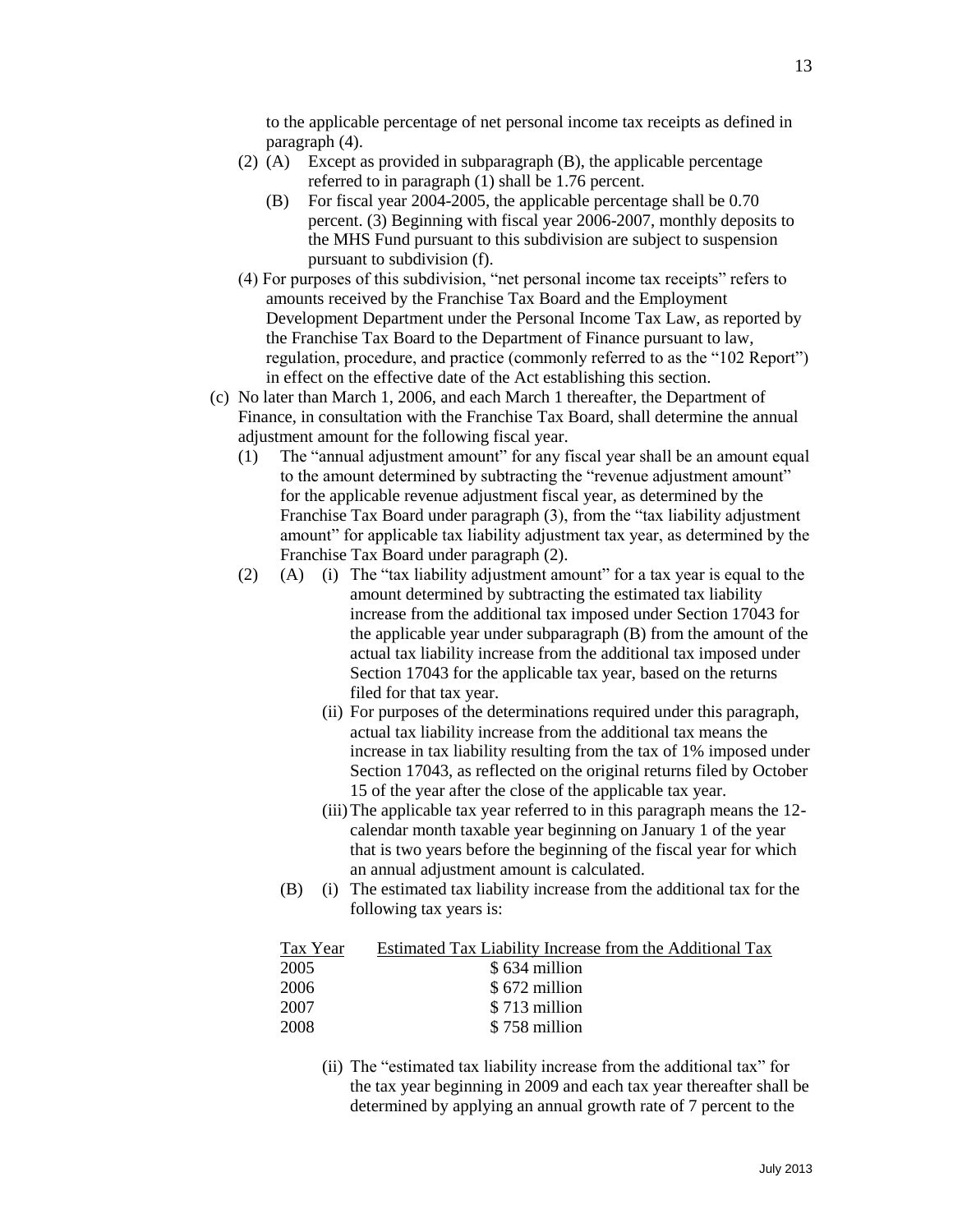to the applicable percentage of net personal income tax receipts as defined in paragraph (4).

- (2) (A) Except as provided in subparagraph (B), the applicable percentage referred to in paragraph (1) shall be 1.76 percent.
	- (B) For fiscal year 2004-2005, the applicable percentage shall be 0.70 percent. (3) Beginning with fiscal year 2006-2007, monthly deposits to the MHS Fund pursuant to this subdivision are subject to suspension pursuant to subdivision (f).
- (4) For purposes of this subdivision, "net personal income tax receipts" refers to amounts received by the Franchise Tax Board and the Employment Development Department under the Personal Income Tax Law, as reported by the Franchise Tax Board to the Department of Finance pursuant to law, regulation, procedure, and practice (commonly referred to as the "102 Report") in effect on the effective date of the Act establishing this section.
- (c) No later than March 1, 2006, and each March 1 thereafter, the Department of Finance, in consultation with the Franchise Tax Board, shall determine the annual adjustment amount for the following fiscal year.
	- (1) The "annual adjustment amount" for any fiscal year shall be an amount equal to the amount determined by subtracting the "revenue adjustment amount" for the applicable revenue adjustment fiscal year, as determined by the Franchise Tax Board under paragraph (3), from the "tax liability adjustment amount" for applicable tax liability adjustment tax year, as determined by the Franchise Tax Board under paragraph (2).
	- (2) (A) (i) The "tax liability adjustment amount" for a tax year is equal to the amount determined by subtracting the estimated tax liability increase from the additional tax imposed under Section 17043 for the applicable year under subparagraph (B) from the amount of the actual tax liability increase from the additional tax imposed under Section 17043 for the applicable tax year, based on the returns filed for that tax year.
		- (ii) For purposes of the determinations required under this paragraph, actual tax liability increase from the additional tax means the increase in tax liability resulting from the tax of 1% imposed under Section 17043, as reflected on the original returns filed by October 15 of the year after the close of the applicable tax year.
		- (iii)The applicable tax year referred to in this paragraph means the 12 calendar month taxable year beginning on January 1 of the year that is two years before the beginning of the fiscal year for which an annual adjustment amount is calculated.
		- (B) (i) The estimated tax liability increase from the additional tax for the following tax years is:

| Tax Year | Estimated Tax Liability Increase from the Additional Tax |
|----------|----------------------------------------------------------|
| 2005     | \$634 million                                            |
| 2006     | \$672 million                                            |
| 2007     | \$713 million                                            |
| 2008     | \$758 million                                            |

(ii) The "estimated tax liability increase from the additional tax" for the tax year beginning in 2009 and each tax year thereafter shall be determined by applying an annual growth rate of 7 percent to the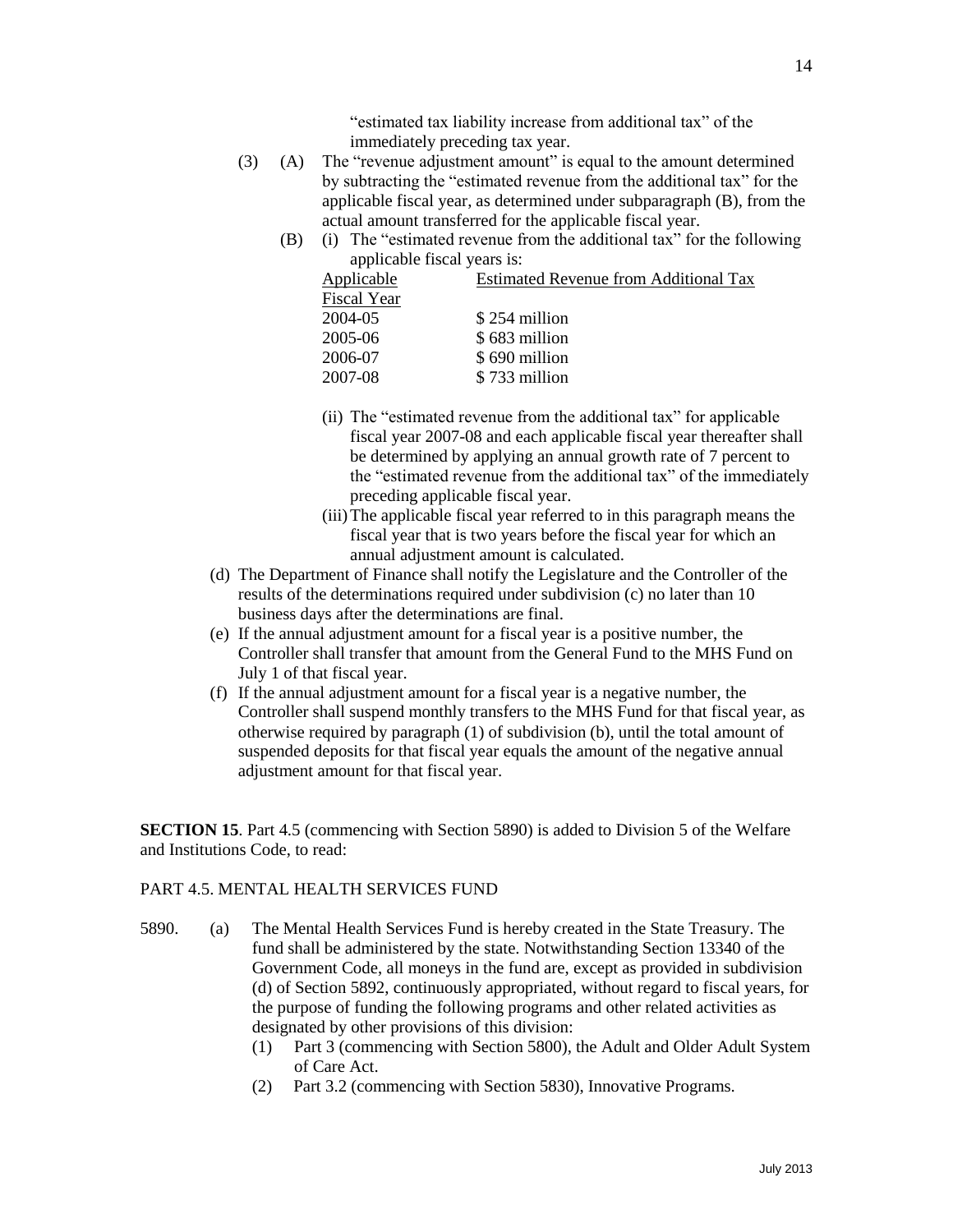"estimated tax liability increase from additional tax" of the

- immediately preceding tax year. (3) (A) The "revenue adjustment amount" is equal to the amount determined by subtracting the "estimated revenue from the additional tax" for the applicable fiscal year, as determined under subparagraph (B), from the actual amount transferred for the applicable fiscal year.
	- (B) (i) The "estimated revenue from the additional tax" for the following applicable fiscal years is:

| Applicable  | <b>Estimated Revenue from Additional Tax</b> |
|-------------|----------------------------------------------|
| Fiscal Year |                                              |
| 2004-05     | \$254 million                                |
| 2005-06     | \$683 million                                |
| 2006-07     | \$690 million                                |
| 2007-08     | \$733 million                                |
|             |                                              |

- (ii) The "estimated revenue from the additional tax" for applicable fiscal year 2007-08 and each applicable fiscal year thereafter shall be determined by applying an annual growth rate of 7 percent to the "estimated revenue from the additional tax" of the immediately preceding applicable fiscal year.
- (iii)The applicable fiscal year referred to in this paragraph means the fiscal year that is two years before the fiscal year for which an annual adjustment amount is calculated.
- (d) The Department of Finance shall notify the Legislature and the Controller of the results of the determinations required under subdivision (c) no later than 10 business days after the determinations are final.
- (e) If the annual adjustment amount for a fiscal year is a positive number, the Controller shall transfer that amount from the General Fund to the MHS Fund on July 1 of that fiscal year.
- (f) If the annual adjustment amount for a fiscal year is a negative number, the Controller shall suspend monthly transfers to the MHS Fund for that fiscal year, as otherwise required by paragraph (1) of subdivision (b), until the total amount of suspended deposits for that fiscal year equals the amount of the negative annual adjustment amount for that fiscal year.

**SECTION 15**. Part 4.5 (commencing with Section 5890) is added to Division 5 of the Welfare and Institutions Code, to read:

# PART 4.5. MENTAL HEALTH SERVICES FUND

- 5890. (a) The Mental Health Services Fund is hereby created in the State Treasury. The fund shall be administered by the state. Notwithstanding Section 13340 of the Government Code, all moneys in the fund are, except as provided in subdivision (d) of Section 5892, continuously appropriated, without regard to fiscal years, for the purpose of funding the following programs and other related activities as designated by other provisions of this division:
	- (1) Part 3 (commencing with Section 5800), the Adult and Older Adult System of Care Act.
	- (2) Part 3.2 (commencing with Section 5830), Innovative Programs.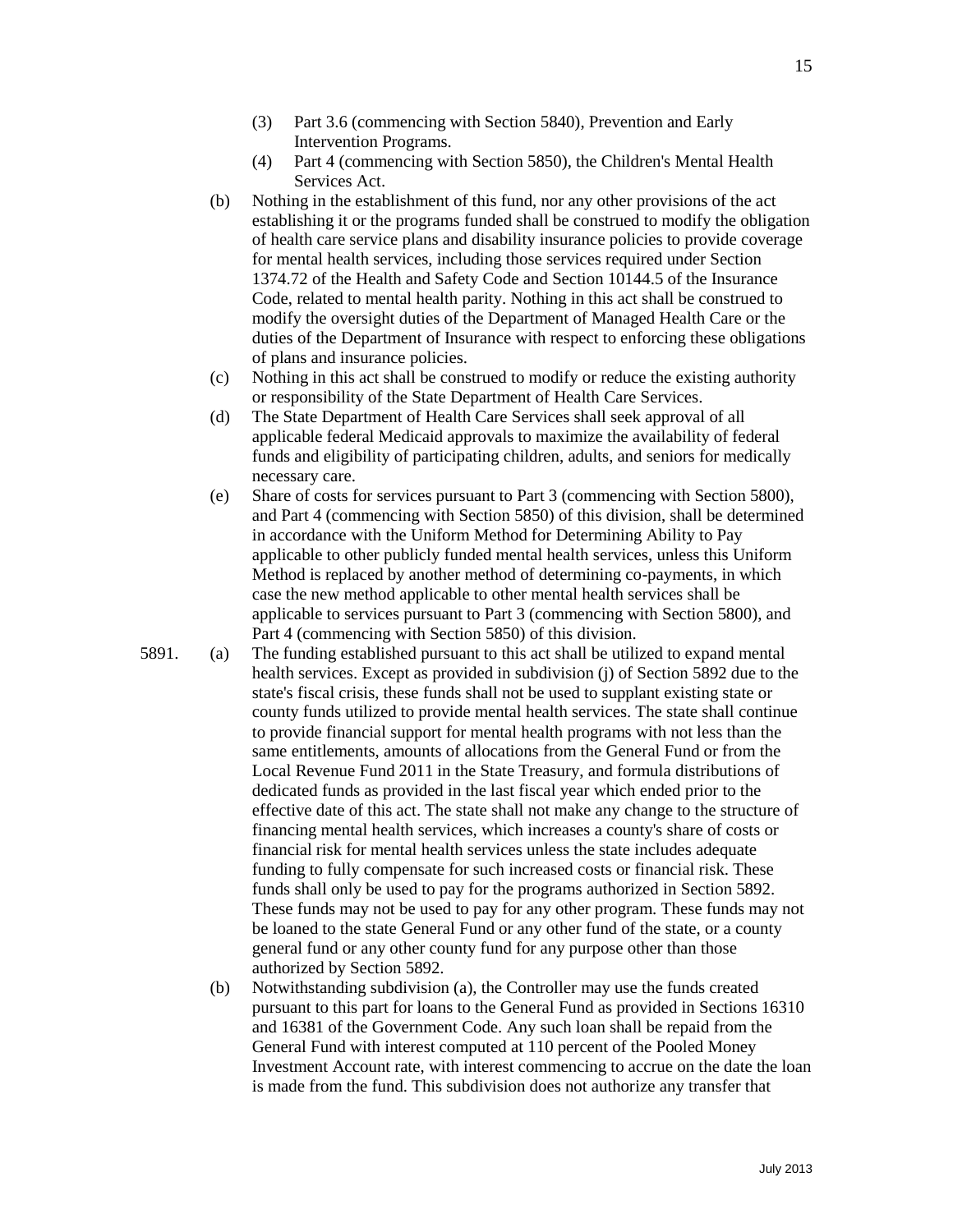- (3) Part 3.6 (commencing with Section 5840), Prevention and Early Intervention Programs.
- (4) Part 4 (commencing with Section 5850), the Children's Mental Health Services Act.
- (b) Nothing in the establishment of this fund, nor any other provisions of the act establishing it or the programs funded shall be construed to modify the obligation of health care service plans and disability insurance policies to provide coverage for mental health services, including those services required under Section 1374.72 of the Health and Safety Code and Section 10144.5 of the Insurance Code, related to mental health parity. Nothing in this act shall be construed to modify the oversight duties of the Department of Managed Health Care or the duties of the Department of Insurance with respect to enforcing these obligations of plans and insurance policies.
- (c) Nothing in this act shall be construed to modify or reduce the existing authority or responsibility of the State Department of Health Care Services.
- (d) The State Department of Health Care Services shall seek approval of all applicable federal Medicaid approvals to maximize the availability of federal funds and eligibility of participating children, adults, and seniors for medically necessary care.
- (e) Share of costs for services pursuant to Part 3 (commencing with Section 5800), and Part 4 (commencing with Section 5850) of this division, shall be determined in accordance with the Uniform Method for Determining Ability to Pay applicable to other publicly funded mental health services, unless this Uniform Method is replaced by another method of determining co-payments, in which case the new method applicable to other mental health services shall be applicable to services pursuant to Part 3 (commencing with Section 5800), and Part 4 (commencing with Section 5850) of this division.
- 5891. (a) The funding established pursuant to this act shall be utilized to expand mental health services. Except as provided in subdivision (j) of Section 5892 due to the state's fiscal crisis, these funds shall not be used to supplant existing state or county funds utilized to provide mental health services. The state shall continue to provide financial support for mental health programs with not less than the same entitlements, amounts of allocations from the General Fund or from the Local Revenue Fund 2011 in the State Treasury, and formula distributions of dedicated funds as provided in the last fiscal year which ended prior to the effective date of this act. The state shall not make any change to the structure of financing mental health services, which increases a county's share of costs or financial risk for mental health services unless the state includes adequate funding to fully compensate for such increased costs or financial risk. These funds shall only be used to pay for the programs authorized in Section 5892. These funds may not be used to pay for any other program. These funds may not be loaned to the state General Fund or any other fund of the state, or a county general fund or any other county fund for any purpose other than those authorized by Section 5892.
	- (b) Notwithstanding subdivision (a), the Controller may use the funds created pursuant to this part for loans to the General Fund as provided in Sections 16310 and 16381 of the Government Code. Any such loan shall be repaid from the General Fund with interest computed at 110 percent of the Pooled Money Investment Account rate, with interest commencing to accrue on the date the loan is made from the fund. This subdivision does not authorize any transfer that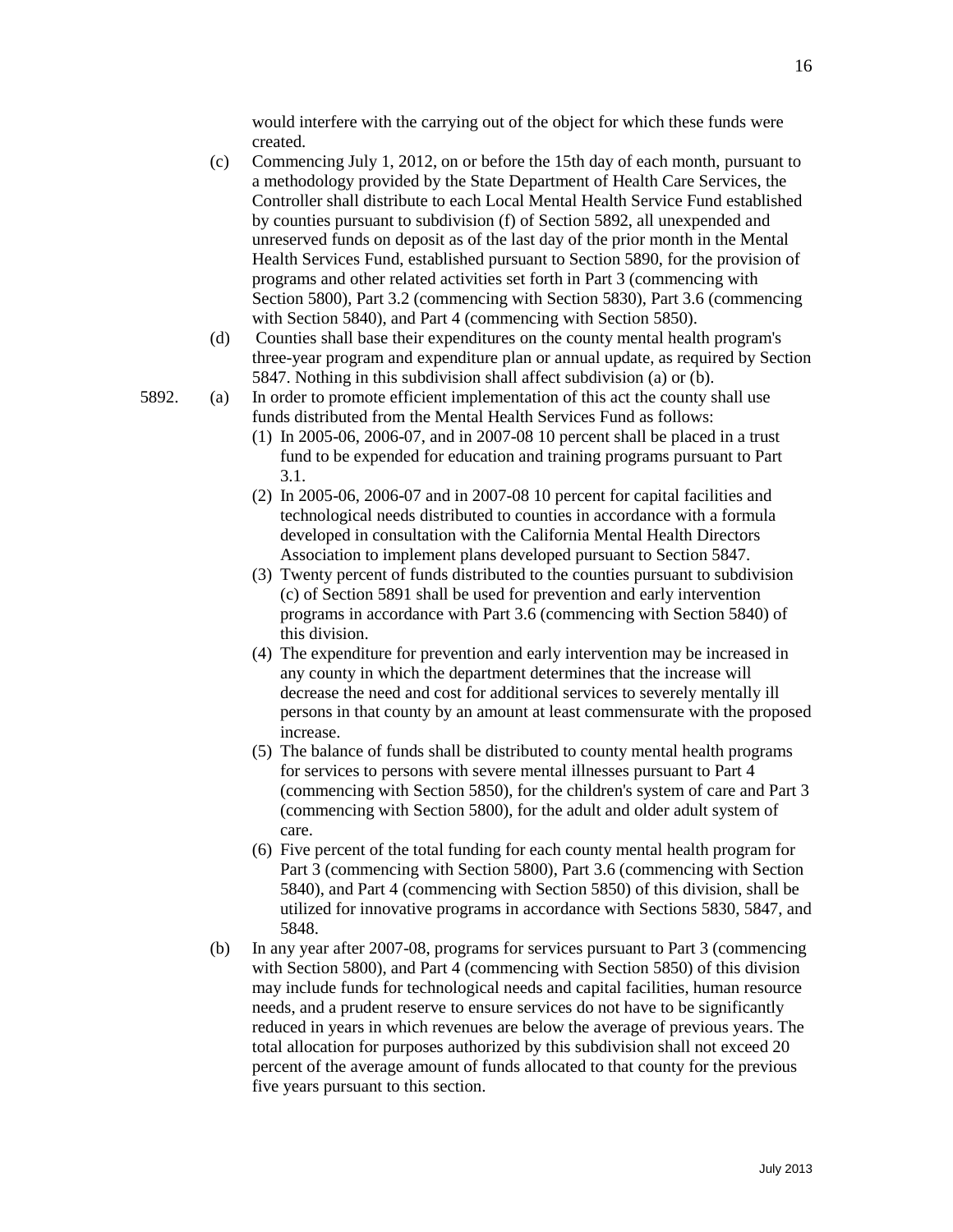16

would interfere with the carrying out of the object for which these funds were created.

- (c) Commencing July 1, 2012, on or before the 15th day of each month, pursuant to a methodology provided by the State Department of Health Care Services, the Controller shall distribute to each Local Mental Health Service Fund established by counties pursuant to subdivision (f) of Section 5892, all unexpended and unreserved funds on deposit as of the last day of the prior month in the Mental Health Services Fund, established pursuant to Section 5890, for the provision of programs and other related activities set forth in Part 3 (commencing with Section 5800), Part 3.2 (commencing with Section 5830), Part 3.6 (commencing with Section 5840), and Part 4 (commencing with Section 5850).
- (d) Counties shall base their expenditures on the county mental health program's three-year program and expenditure plan or annual update, as required by Section 5847. Nothing in this subdivision shall affect subdivision (a) or (b).
- 5892. (a) In order to promote efficient implementation of this act the county shall use funds distributed from the Mental Health Services Fund as follows:
	- (1) In 2005-06, 2006-07, and in 2007-08 10 percent shall be placed in a trust fund to be expended for education and training programs pursuant to Part 3.1.
	- (2) In 2005-06, 2006-07 and in 2007-08 10 percent for capital facilities and technological needs distributed to counties in accordance with a formula developed in consultation with the California Mental Health Directors Association to implement plans developed pursuant to Section 5847.
	- (3) Twenty percent of funds distributed to the counties pursuant to subdivision (c) of Section 5891 shall be used for prevention and early intervention programs in accordance with Part 3.6 (commencing with Section 5840) of this division.
	- (4) The expenditure for prevention and early intervention may be increased in any county in which the department determines that the increase will decrease the need and cost for additional services to severely mentally ill persons in that county by an amount at least commensurate with the proposed increase.
	- (5) The balance of funds shall be distributed to county mental health programs for services to persons with severe mental illnesses pursuant to Part 4 (commencing with Section 5850), for the children's system of care and Part 3 (commencing with Section 5800), for the adult and older adult system of care.
	- (6) Five percent of the total funding for each county mental health program for Part 3 (commencing with Section 5800), Part 3.6 (commencing with Section 5840), and Part 4 (commencing with Section 5850) of this division, shall be utilized for innovative programs in accordance with Sections 5830, 5847, and 5848.
	- (b) In any year after 2007-08, programs for services pursuant to Part 3 (commencing with Section 5800), and Part 4 (commencing with Section 5850) of this division may include funds for technological needs and capital facilities, human resource needs, and a prudent reserve to ensure services do not have to be significantly reduced in years in which revenues are below the average of previous years. The total allocation for purposes authorized by this subdivision shall not exceed 20 percent of the average amount of funds allocated to that county for the previous five years pursuant to this section.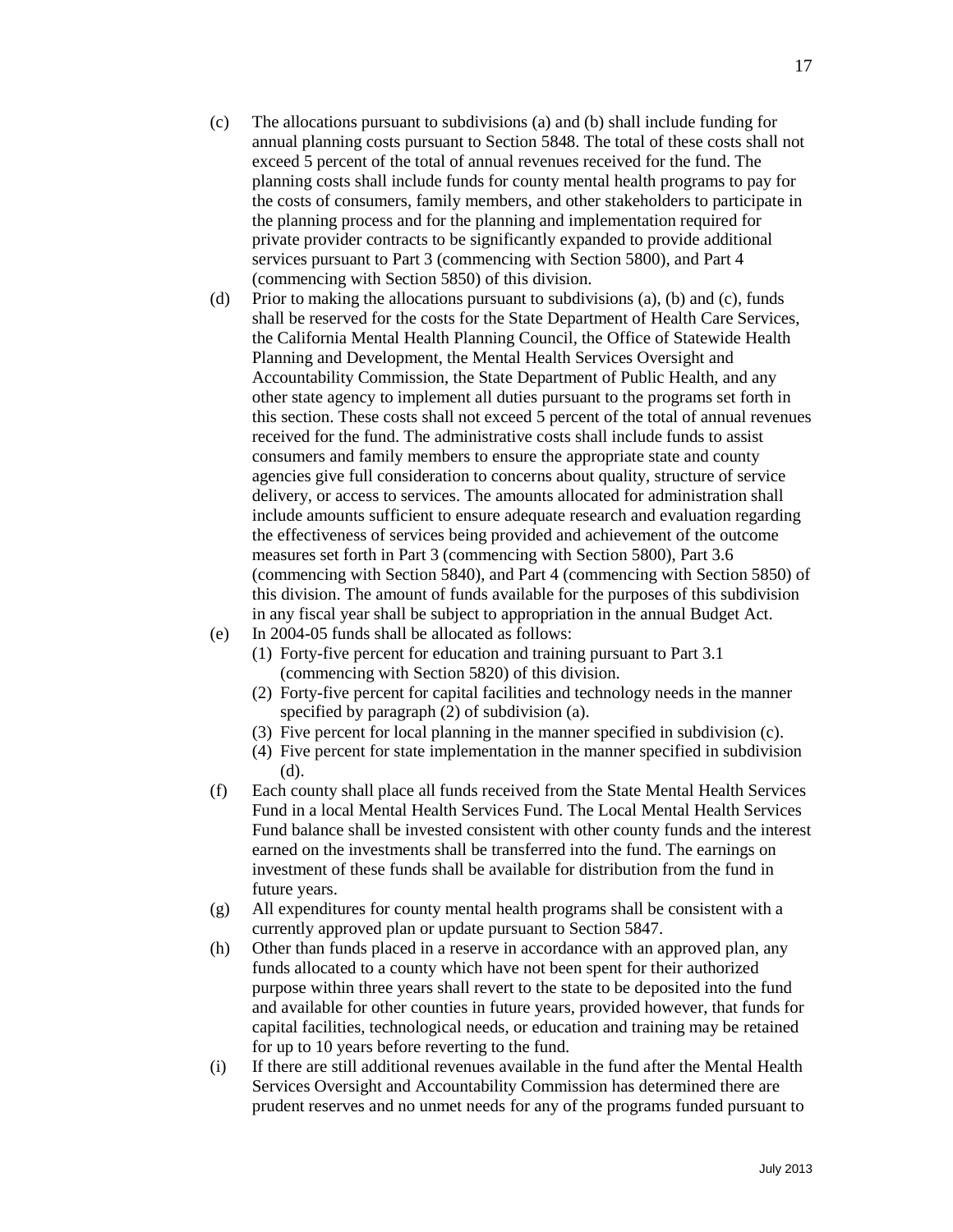- (c) The allocations pursuant to subdivisions (a) and (b) shall include funding for annual planning costs pursuant to Section 5848. The total of these costs shall not exceed 5 percent of the total of annual revenues received for the fund. The planning costs shall include funds for county mental health programs to pay for the costs of consumers, family members, and other stakeholders to participate in the planning process and for the planning and implementation required for private provider contracts to be significantly expanded to provide additional services pursuant to Part 3 (commencing with Section 5800), and Part 4 (commencing with Section 5850) of this division.
- (d) Prior to making the allocations pursuant to subdivisions (a), (b) and (c), funds shall be reserved for the costs for the State Department of Health Care Services, the California Mental Health Planning Council, the Office of Statewide Health Planning and Development, the Mental Health Services Oversight and Accountability Commission, the State Department of Public Health, and any other state agency to implement all duties pursuant to the programs set forth in this section. These costs shall not exceed 5 percent of the total of annual revenues received for the fund. The administrative costs shall include funds to assist consumers and family members to ensure the appropriate state and county agencies give full consideration to concerns about quality, structure of service delivery, or access to services. The amounts allocated for administration shall include amounts sufficient to ensure adequate research and evaluation regarding the effectiveness of services being provided and achievement of the outcome measures set forth in Part 3 (commencing with Section 5800), Part 3.6 (commencing with Section 5840), and Part 4 (commencing with Section 5850) of this division. The amount of funds available for the purposes of this subdivision in any fiscal year shall be subject to appropriation in the annual Budget Act.
- (e) In 2004-05 funds shall be allocated as follows:
	- (1) Forty-five percent for education and training pursuant to Part 3.1 (commencing with Section 5820) of this division.
	- (2) Forty-five percent for capital facilities and technology needs in the manner specified by paragraph (2) of subdivision (a).
	- (3) Five percent for local planning in the manner specified in subdivision (c).
	- (4) Five percent for state implementation in the manner specified in subdivision (d).
- (f) Each county shall place all funds received from the State Mental Health Services Fund in a local Mental Health Services Fund. The Local Mental Health Services Fund balance shall be invested consistent with other county funds and the interest earned on the investments shall be transferred into the fund. The earnings on investment of these funds shall be available for distribution from the fund in future years.
- (g) All expenditures for county mental health programs shall be consistent with a currently approved plan or update pursuant to Section 5847.
- (h) Other than funds placed in a reserve in accordance with an approved plan, any funds allocated to a county which have not been spent for their authorized purpose within three years shall revert to the state to be deposited into the fund and available for other counties in future years, provided however, that funds for capital facilities, technological needs, or education and training may be retained for up to 10 years before reverting to the fund.
- (i) If there are still additional revenues available in the fund after the Mental Health Services Oversight and Accountability Commission has determined there are prudent reserves and no unmet needs for any of the programs funded pursuant to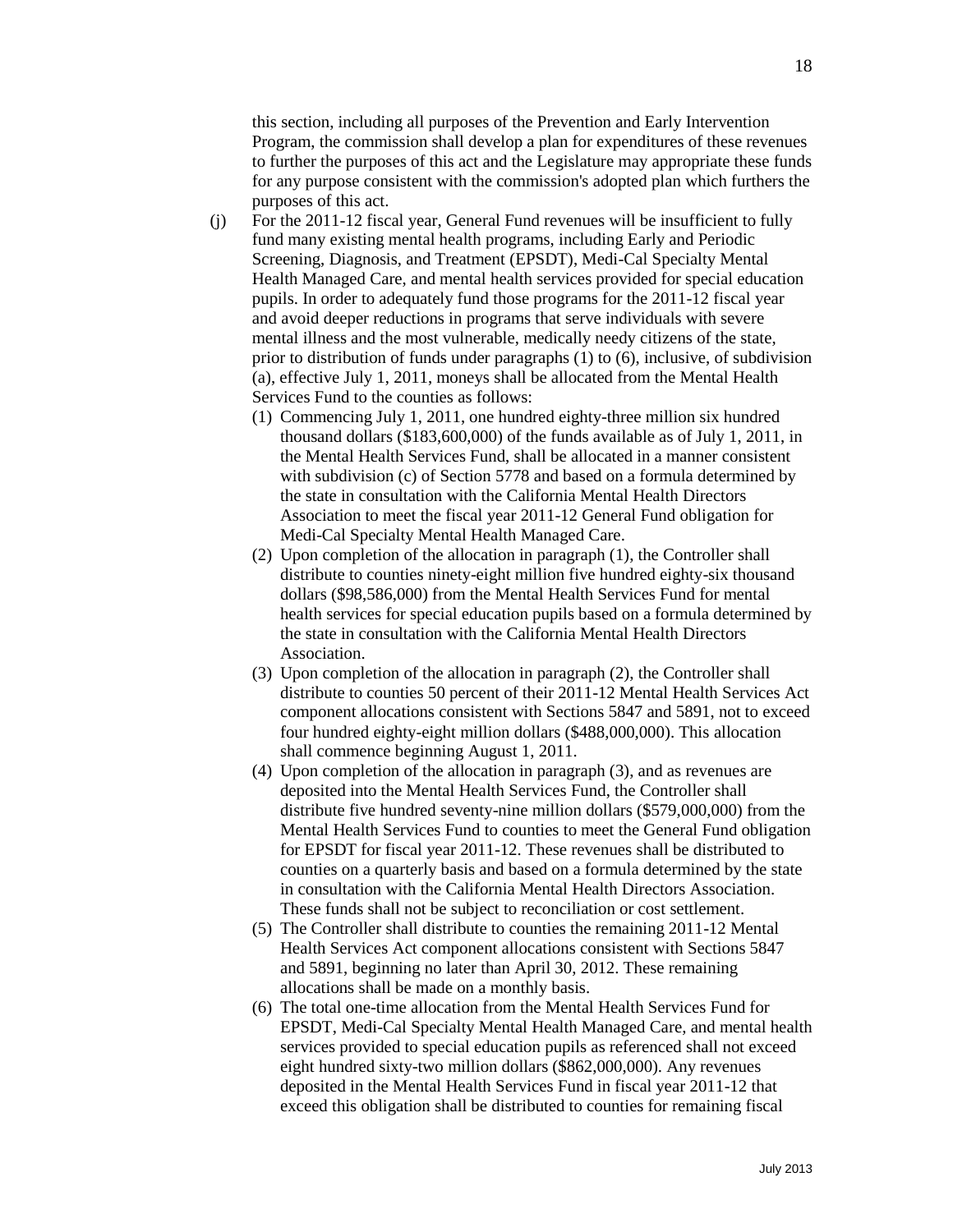this section, including all purposes of the Prevention and Early Intervention Program, the commission shall develop a plan for expenditures of these revenues to further the purposes of this act and the Legislature may appropriate these funds for any purpose consistent with the commission's adopted plan which furthers the purposes of this act.

- (j) For the 2011-12 fiscal year, General Fund revenues will be insufficient to fully fund many existing mental health programs, including Early and Periodic Screening, Diagnosis, and Treatment (EPSDT), Medi-Cal Specialty Mental Health Managed Care, and mental health services provided for special education pupils. In order to adequately fund those programs for the 2011-12 fiscal year and avoid deeper reductions in programs that serve individuals with severe mental illness and the most vulnerable, medically needy citizens of the state, prior to distribution of funds under paragraphs (1) to (6), inclusive, of subdivision (a), effective July 1, 2011, moneys shall be allocated from the Mental Health Services Fund to the counties as follows:
	- (1) Commencing July 1, 2011, one hundred eighty-three million six hundred thousand dollars (\$183,600,000) of the funds available as of July 1, 2011, in the Mental Health Services Fund, shall be allocated in a manner consistent with subdivision (c) of Section 5778 and based on a formula determined by the state in consultation with the California Mental Health Directors Association to meet the fiscal year 2011-12 General Fund obligation for Medi-Cal Specialty Mental Health Managed Care.
	- (2) Upon completion of the allocation in paragraph (1), the Controller shall distribute to counties ninety-eight million five hundred eighty-six thousand dollars (\$98,586,000) from the Mental Health Services Fund for mental health services for special education pupils based on a formula determined by the state in consultation with the California Mental Health Directors Association.
	- (3) Upon completion of the allocation in paragraph (2), the Controller shall distribute to counties 50 percent of their 2011-12 Mental Health Services Act component allocations consistent with Sections 5847 and 5891, not to exceed four hundred eighty-eight million dollars (\$488,000,000). This allocation shall commence beginning August 1, 2011.
	- (4) Upon completion of the allocation in paragraph (3), and as revenues are deposited into the Mental Health Services Fund, the Controller shall distribute five hundred seventy-nine million dollars (\$579,000,000) from the Mental Health Services Fund to counties to meet the General Fund obligation for EPSDT for fiscal year 2011-12. These revenues shall be distributed to counties on a quarterly basis and based on a formula determined by the state in consultation with the California Mental Health Directors Association. These funds shall not be subject to reconciliation or cost settlement.
	- (5) The Controller shall distribute to counties the remaining 2011-12 Mental Health Services Act component allocations consistent with Sections 5847 and 5891, beginning no later than April 30, 2012. These remaining allocations shall be made on a monthly basis.
	- (6) The total one-time allocation from the Mental Health Services Fund for EPSDT, Medi-Cal Specialty Mental Health Managed Care, and mental health services provided to special education pupils as referenced shall not exceed eight hundred sixty-two million dollars (\$862,000,000). Any revenues deposited in the Mental Health Services Fund in fiscal year 2011-12 that exceed this obligation shall be distributed to counties for remaining fiscal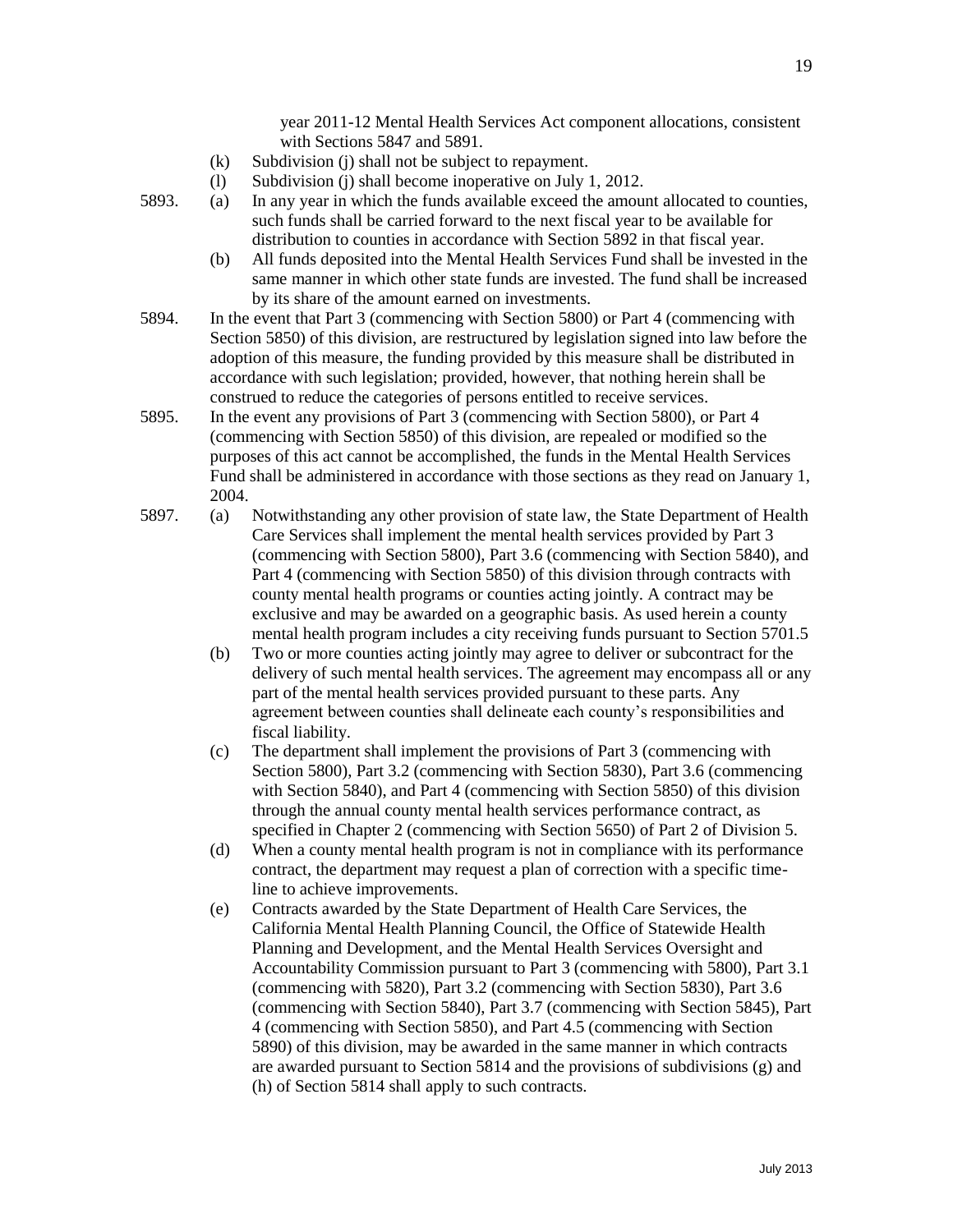- with Sections 5847 and 5891. (k) Subdivision (j) shall not be subject to repayment.
- (l) Subdivision (j) shall become inoperative on July 1, 2012.
- 5893. (a) In any year in which the funds available exceed the amount allocated to counties, such funds shall be carried forward to the next fiscal year to be available for distribution to counties in accordance with Section 5892 in that fiscal year.
	- (b) All funds deposited into the Mental Health Services Fund shall be invested in the same manner in which other state funds are invested. The fund shall be increased by its share of the amount earned on investments.
- 5894. In the event that Part 3 (commencing with Section 5800) or Part 4 (commencing with Section 5850) of this division, are restructured by legislation signed into law before the adoption of this measure, the funding provided by this measure shall be distributed in accordance with such legislation; provided, however, that nothing herein shall be construed to reduce the categories of persons entitled to receive services.
- 5895. In the event any provisions of Part 3 (commencing with Section 5800), or Part 4 (commencing with Section 5850) of this division, are repealed or modified so the purposes of this act cannot be accomplished, the funds in the Mental Health Services Fund shall be administered in accordance with those sections as they read on January 1, 2004.
- 5897. (a) Notwithstanding any other provision of state law, the State Department of Health Care Services shall implement the mental health services provided by Part 3 (commencing with Section 5800), Part 3.6 (commencing with Section 5840), and Part 4 (commencing with Section 5850) of this division through contracts with county mental health programs or counties acting jointly. A contract may be exclusive and may be awarded on a geographic basis. As used herein a county mental health program includes a city receiving funds pursuant to Section 5701.5
	- (b) Two or more counties acting jointly may agree to deliver or subcontract for the delivery of such mental health services. The agreement may encompass all or any part of the mental health services provided pursuant to these parts. Any agreement between counties shall delineate each county's responsibilities and fiscal liability.
	- (c) The department shall implement the provisions of Part 3 (commencing with Section 5800), Part 3.2 (commencing with Section 5830), Part 3.6 (commencing with Section 5840), and Part 4 (commencing with Section 5850) of this division through the annual county mental health services performance contract, as specified in Chapter 2 (commencing with Section 5650) of Part 2 of Division 5.
	- (d) When a county mental health program is not in compliance with its performance contract, the department may request a plan of correction with a specific timeline to achieve improvements.
	- (e) Contracts awarded by the State Department of Health Care Services, the California Mental Health Planning Council, the Office of Statewide Health Planning and Development, and the Mental Health Services Oversight and Accountability Commission pursuant to Part 3 (commencing with 5800), Part 3.1 (commencing with 5820), Part 3.2 (commencing with Section 5830), Part 3.6 (commencing with Section 5840), Part 3.7 (commencing with Section 5845), Part 4 (commencing with Section 5850), and Part 4.5 (commencing with Section 5890) of this division, may be awarded in the same manner in which contracts are awarded pursuant to Section 5814 and the provisions of subdivisions (g) and (h) of Section 5814 shall apply to such contracts*.*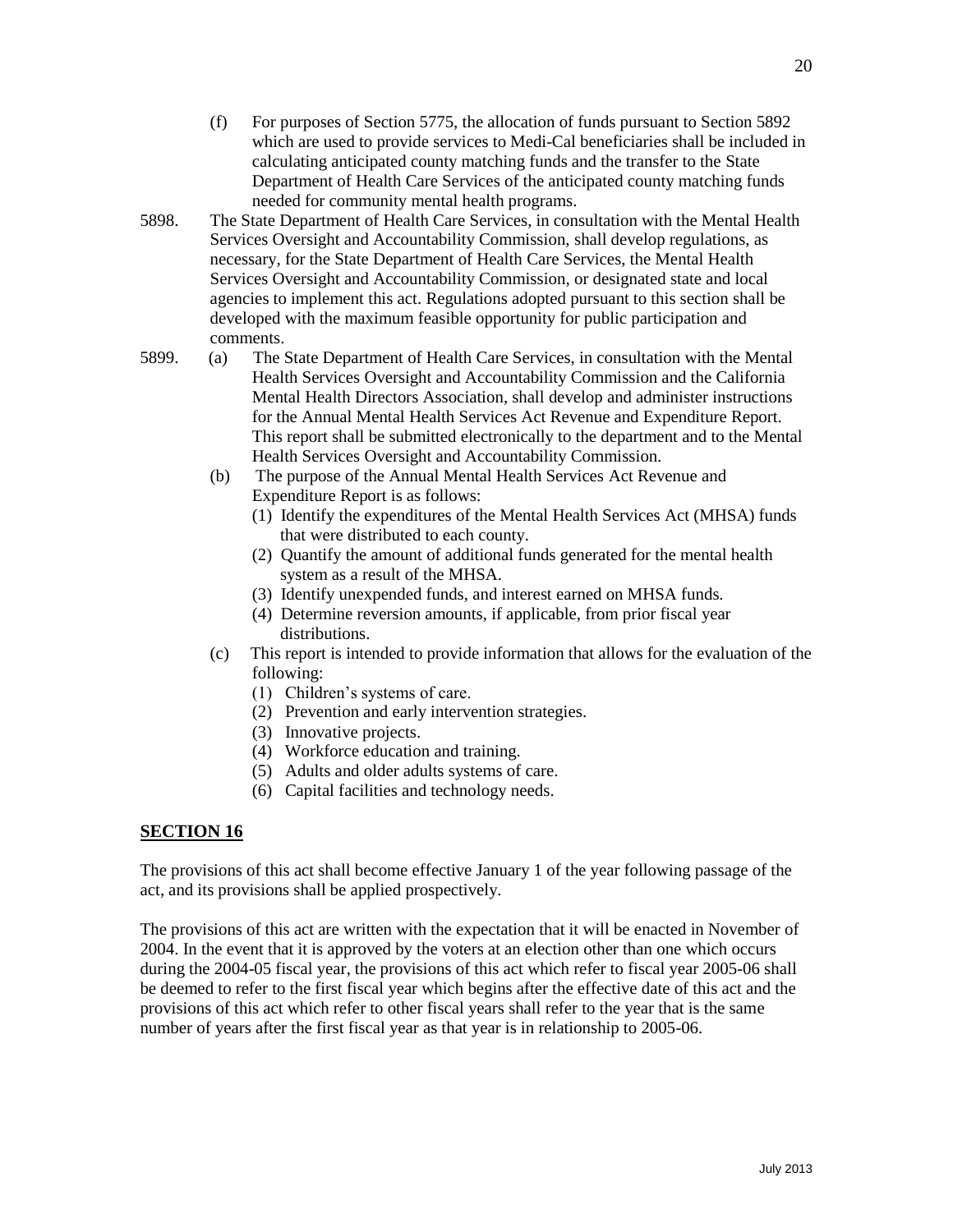- (f) For purposes of Section 5775, the allocation of funds pursuant to Section 5892 which are used to provide services to Medi-Cal beneficiaries shall be included in calculating anticipated county matching funds and the transfer to the State Department of Health Care Services of the anticipated county matching funds needed for community mental health programs.
- 5898. The State Department of Health Care Services, in consultation with the Mental Health Services Oversight and Accountability Commission, shall develop regulations, as necessary, for the State Department of Health Care Services, the Mental Health Services Oversight and Accountability Commission, or designated state and local agencies to implement this act. Regulations adopted pursuant to this section shall be developed with the maximum feasible opportunity for public participation and comments.
- 5899. (a) The State Department of Health Care Services, in consultation with the Mental Health Services Oversight and Accountability Commission and the California Mental Health Directors Association, shall develop and administer instructions for the Annual Mental Health Services Act Revenue and Expenditure Report. This report shall be submitted electronically to the department and to the Mental Health Services Oversight and Accountability Commission.
	- (b) The purpose of the Annual Mental Health Services Act Revenue and Expenditure Report is as follows:
		- (1) Identify the expenditures of the Mental Health Services Act (MHSA) funds that were distributed to each county.
		- (2) Quantify the amount of additional funds generated for the mental health system as a result of the MHSA.
		- (3) Identify unexpended funds, and interest earned on MHSA funds.
		- (4) Determine reversion amounts, if applicable, from prior fiscal year distributions.
	- (c) This report is intended to provide information that allows for the evaluation of the following:
		- (1) Children's systems of care.
		- (2) Prevention and early intervention strategies.
		- (3) Innovative projects.
		- (4) Workforce education and training.
		- (5) Adults and older adults systems of care.
		- (6) Capital facilities and technology needs.

# **SECTION 16**

The provisions of this act shall become effective January 1 of the year following passage of the act, and its provisions shall be applied prospectively.

The provisions of this act are written with the expectation that it will be enacted in November of 2004. In the event that it is approved by the voters at an election other than one which occurs during the 2004-05 fiscal year, the provisions of this act which refer to fiscal year 2005-06 shall be deemed to refer to the first fiscal year which begins after the effective date of this act and the provisions of this act which refer to other fiscal years shall refer to the year that is the same number of years after the first fiscal year as that year is in relationship to 2005-06.